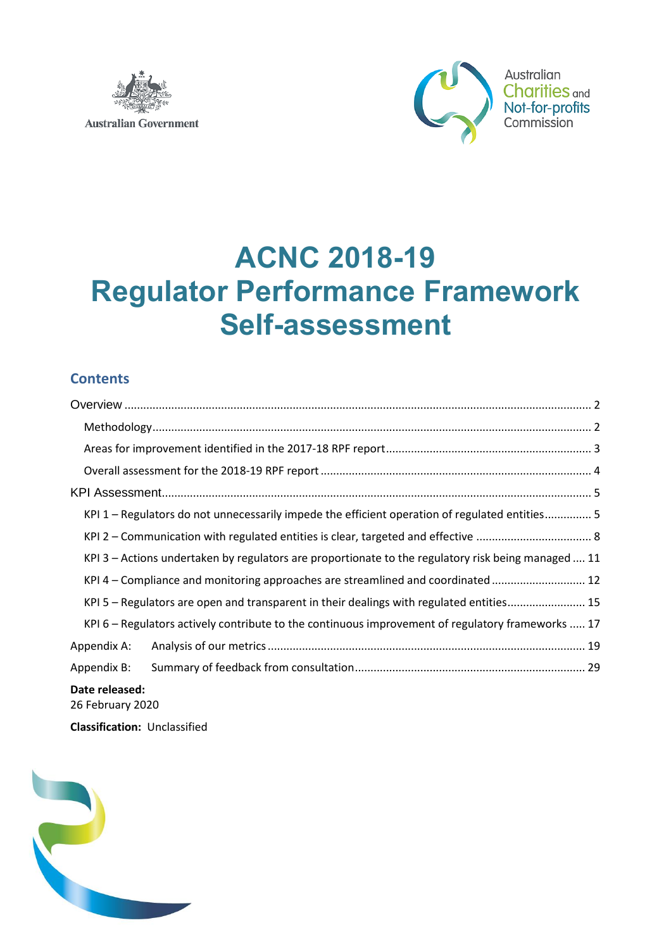



# **ACNC 2018-19 Regulator Performance Framework Self-assessment**

### **Contents**

| KPI 1 – Regulators do not unnecessarily impede the efficient operation of regulated entities 5      |
|-----------------------------------------------------------------------------------------------------|
|                                                                                                     |
| KPI 3 – Actions undertaken by regulators are proportionate to the regulatory risk being managed  11 |
| KPI 4 – Compliance and monitoring approaches are streamlined and coordinated  12                    |
| KPI 5 - Regulators are open and transparent in their dealings with regulated entities 15            |
| KPI 6 - Regulators actively contribute to the continuous improvement of regulatory frameworks  17   |
| Appendix A:                                                                                         |
| Appendix B:                                                                                         |
| Date released:<br>26 February 2020                                                                  |

**Classification:** Unclassified

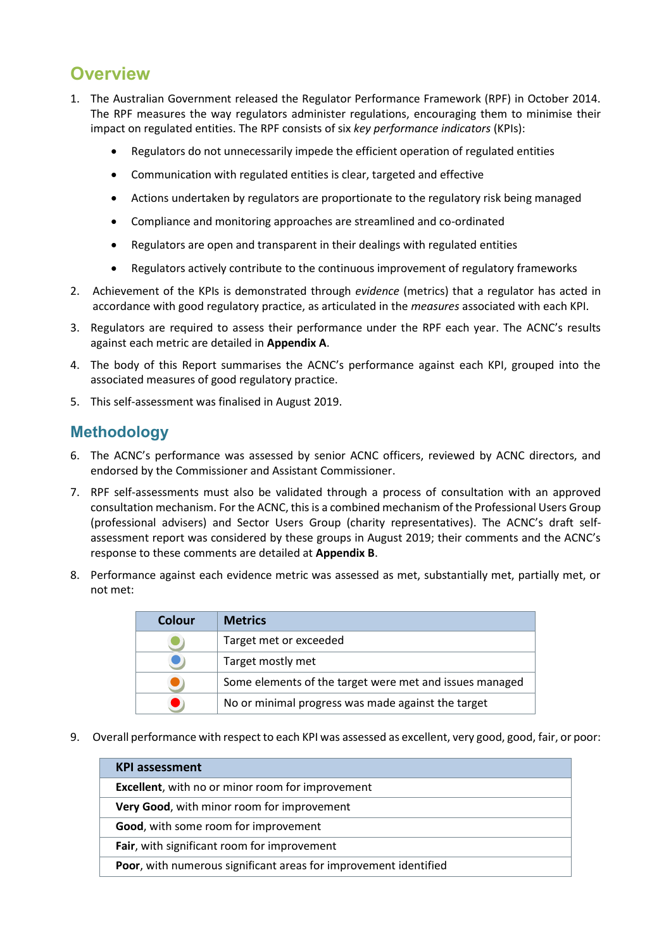## <span id="page-1-0"></span>**Overview**

- 1. The Australian Government released the Regulator Performance Framework (RPF) in October 2014. The RPF measures the way regulators administer regulations, encouraging them to minimise their impact on regulated entities. The RPF consists of six *key performance indicators* (KPIs):
	- Regulators do not unnecessarily impede the efficient operation of regulated entities
	- Communication with regulated entities is clear, targeted and effective
	- Actions undertaken by regulators are proportionate to the regulatory risk being managed
	- Compliance and monitoring approaches are streamlined and co-ordinated
	- Regulators are open and transparent in their dealings with regulated entities
	- Regulators actively contribute to the continuous improvement of regulatory frameworks
- 2. Achievement of the KPIs is demonstrated through *evidence* (metrics) that a regulator has acted in accordance with good regulatory practice, as articulated in the *measures* associated with each KPI.
- 3. Regulators are required to assess their performance under the RPF each year. The ACNC's results against each metric are detailed in **Appendix A**.
- 4. The body of this Report summarises the ACNC's performance against each KPI, grouped into the associated measures of good regulatory practice.
- 5. This self-assessment was finalised in August 2019.

### <span id="page-1-1"></span>**Methodology**

- 6. The ACNC's performance was assessed by senior ACNC officers, reviewed by ACNC directors, and endorsed by the Commissioner and Assistant Commissioner.
- 7. RPF self-assessments must also be validated through a process of consultation with an approved consultation mechanism. For the ACNC, this is a combined mechanism of the Professional Users Group (professional advisers) and Sector Users Group (charity representatives). The ACNC's draft selfassessment report was considered by these groups in August 2019; their comments and the ACNC's response to these comments are detailed at **Appendix B**.
- 8. Performance against each evidence metric was assessed as met, substantially met, partially met, or not met:

| Colour | <b>Metrics</b>                                          |
|--------|---------------------------------------------------------|
|        | Target met or exceeded                                  |
|        | Target mostly met                                       |
|        | Some elements of the target were met and issues managed |
|        | No or minimal progress was made against the target      |

9. Overall performance with respect to each KPI was assessed as excellent, very good, good, fair, or poor:

| <b>KPI</b> assessment                                                    |  |
|--------------------------------------------------------------------------|--|
| Excellent, with no or minor room for improvement                         |  |
| Very Good, with minor room for improvement                               |  |
| Good, with some room for improvement                                     |  |
| Fair, with significant room for improvement                              |  |
| <b>Poor</b> , with numerous significant areas for improvement identified |  |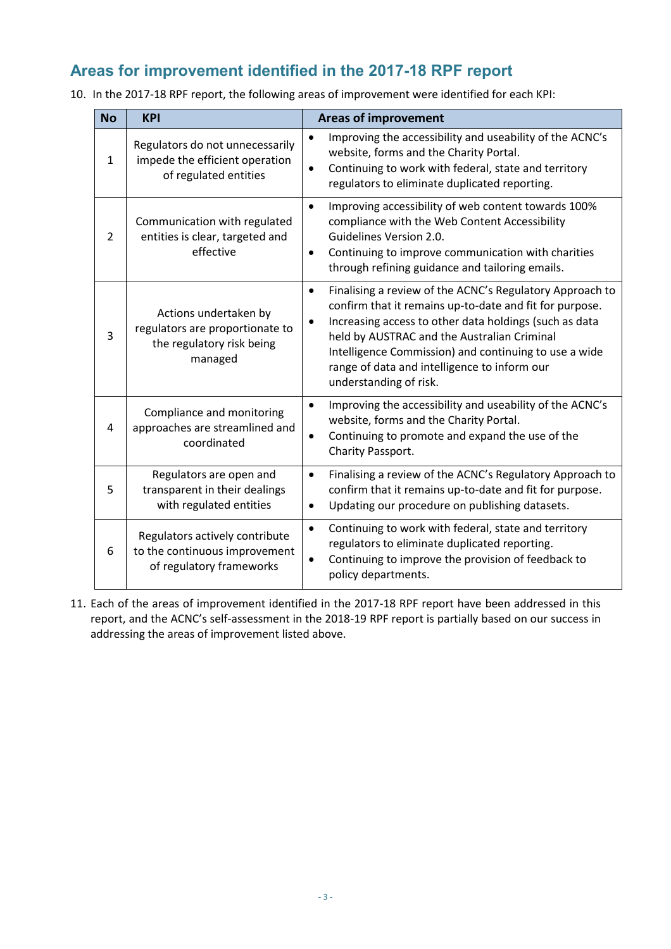### <span id="page-2-0"></span>**Areas for improvement identified in the 2017-18 RPF report**

10. In the 2017-18 RPF report, the following areas of improvement were identified for each KPI:

| <b>No</b>    | <b>KPI</b>                                                                                       | <b>Areas of improvement</b>                                                                                                                                                                                                                                                                                                                                                  |
|--------------|--------------------------------------------------------------------------------------------------|------------------------------------------------------------------------------------------------------------------------------------------------------------------------------------------------------------------------------------------------------------------------------------------------------------------------------------------------------------------------------|
| $\mathbf{1}$ | Regulators do not unnecessarily<br>impede the efficient operation<br>of regulated entities       | Improving the accessibility and useability of the ACNC's<br>$\bullet$<br>website, forms and the Charity Portal.<br>Continuing to work with federal, state and territory<br>$\bullet$<br>regulators to eliminate duplicated reporting.                                                                                                                                        |
| 2            | Communication with regulated<br>entities is clear, targeted and<br>effective                     | Improving accessibility of web content towards 100%<br>$\bullet$<br>compliance with the Web Content Accessibility<br>Guidelines Version 2.0.<br>Continuing to improve communication with charities<br>$\bullet$<br>through refining guidance and tailoring emails.                                                                                                           |
| 3            | Actions undertaken by<br>regulators are proportionate to<br>the regulatory risk being<br>managed | Finalising a review of the ACNC's Regulatory Approach to<br>$\bullet$<br>confirm that it remains up-to-date and fit for purpose.<br>Increasing access to other data holdings (such as data<br>held by AUSTRAC and the Australian Criminal<br>Intelligence Commission) and continuing to use a wide<br>range of data and intelligence to inform our<br>understanding of risk. |
| 4            | Compliance and monitoring<br>approaches are streamlined and<br>coordinated                       | Improving the accessibility and useability of the ACNC's<br>$\bullet$<br>website, forms and the Charity Portal.<br>Continuing to promote and expand the use of the<br>$\bullet$<br>Charity Passport.                                                                                                                                                                         |
| 5            | Regulators are open and<br>transparent in their dealings<br>with regulated entities              | Finalising a review of the ACNC's Regulatory Approach to<br>$\bullet$<br>confirm that it remains up-to-date and fit for purpose.<br>Updating our procedure on publishing datasets.<br>$\bullet$                                                                                                                                                                              |
| 6            | Regulators actively contribute<br>to the continuous improvement<br>of regulatory frameworks      | Continuing to work with federal, state and territory<br>$\bullet$<br>regulators to eliminate duplicated reporting.<br>Continuing to improve the provision of feedback to<br>$\bullet$<br>policy departments.                                                                                                                                                                 |

11. Each of the areas of improvement identified in the 2017-18 RPF report have been addressed in this report, and the ACNC's self-assessment in the 2018-19 RPF report is partially based on our success in addressing the areas of improvement listed above.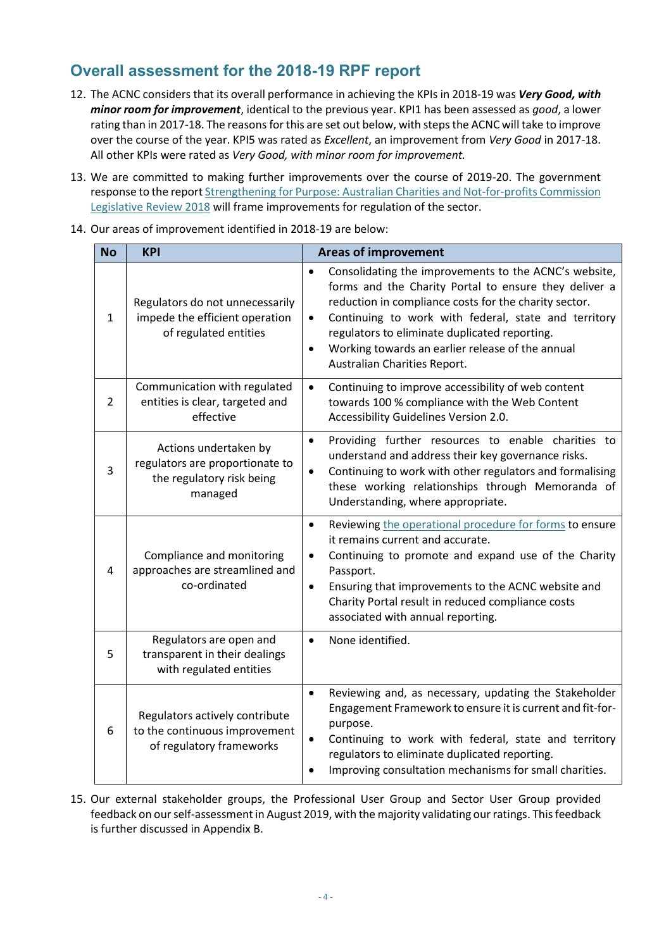### <span id="page-3-0"></span>**Overall assessment for the 2018-19 RPF report**

- 12. The ACNC considers that its overall performance in achieving the KPIs in 2018-19 was *Very Good, with minor room for improvement*, identical to the previous year. KPI1 has been assessed as *good*, a lower rating than in 2017-18. The reasons for this are set out below, with steps the ACNC will take to improve over the course of the year. KPI5 was rated as *Excellent*, an improvement from *Very Good* in 2017-18. All other KPIs were rated as *Very Good, with minor room for improvement.*
- 13. We are committed to making further improvements over the course of 2019-20. The government response to the repor[t Strengthening for Purpose: Australian Charities and Not-for-profits Commission](https://treasury.gov.au/publication/p2018-t318031)  [Legislative Review 2018](https://treasury.gov.au/publication/p2018-t318031) will frame improvements for regulation of the sector.
- 14. Our areas of improvement identified in 2018-19 are below:

| <b>No</b>      | <b>KPI</b>                                                                                       | <b>Areas of improvement</b>                                                                                                                                                                                                                                                                                                                                                                                 |
|----------------|--------------------------------------------------------------------------------------------------|-------------------------------------------------------------------------------------------------------------------------------------------------------------------------------------------------------------------------------------------------------------------------------------------------------------------------------------------------------------------------------------------------------------|
| 1              | Regulators do not unnecessarily<br>impede the efficient operation<br>of regulated entities       | Consolidating the improvements to the ACNC's website,<br>$\bullet$<br>forms and the Charity Portal to ensure they deliver a<br>reduction in compliance costs for the charity sector.<br>Continuing to work with federal, state and territory<br>$\bullet$<br>regulators to eliminate duplicated reporting.<br>Working towards an earlier release of the annual<br>$\bullet$<br>Australian Charities Report. |
| $\overline{2}$ | Communication with regulated<br>entities is clear, targeted and<br>effective                     | Continuing to improve accessibility of web content<br>$\bullet$<br>towards 100 % compliance with the Web Content<br>Accessibility Guidelines Version 2.0.                                                                                                                                                                                                                                                   |
| 3              | Actions undertaken by<br>regulators are proportionate to<br>the regulatory risk being<br>managed | Providing further resources to enable charities to<br>$\bullet$<br>understand and address their key governance risks.<br>Continuing to work with other regulators and formalising<br>$\bullet$<br>these working relationships through Memoranda of<br>Understanding, where appropriate.                                                                                                                     |
| 4              | Compliance and monitoring<br>approaches are streamlined and<br>co-ordinated                      | Reviewing the operational procedure for forms to ensure<br>$\bullet$<br>it remains current and accurate.<br>Continuing to promote and expand use of the Charity<br>$\bullet$<br>Passport.<br>Ensuring that improvements to the ACNC website and<br>$\bullet$<br>Charity Portal result in reduced compliance costs<br>associated with annual reporting.                                                      |
| 5              | Regulators are open and<br>transparent in their dealings<br>with regulated entities              | None identified.<br>$\bullet$                                                                                                                                                                                                                                                                                                                                                                               |
| 6              | Regulators actively contribute<br>to the continuous improvement<br>of regulatory frameworks      | Reviewing and, as necessary, updating the Stakeholder<br>$\bullet$<br>Engagement Framework to ensure it is current and fit-for-<br>purpose.<br>Continuing to work with federal, state and territory<br>$\bullet$<br>regulators to eliminate duplicated reporting.<br>Improving consultation mechanisms for small charities.<br>$\bullet$                                                                    |

15. Our external stakeholder groups, the Professional User Group and Sector User Group provided feedback on our self-assessment in August 2019, with the majority validating our ratings. This feedback is further discussed in Appendix B.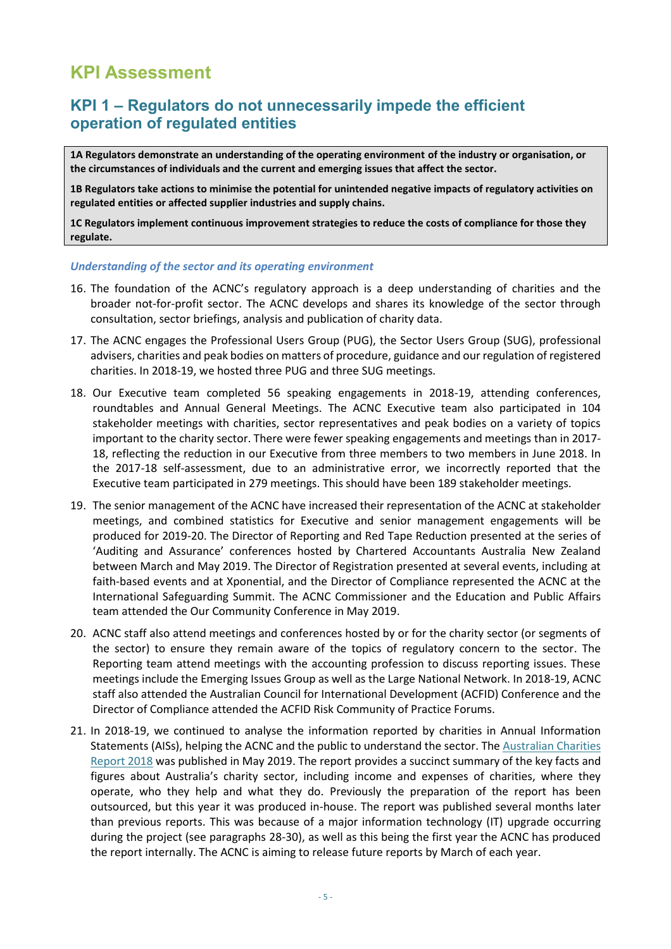## <span id="page-4-0"></span>**KPI Assessment**

### <span id="page-4-1"></span>**KPI 1 – Regulators do not unnecessarily impede the efficient operation of regulated entities**

**1A Regulators demonstrate an understanding of the operating environment of the industry or organisation, or the circumstances of individuals and the current and emerging issues that affect the sector.**

**1B Regulators take actions to minimise the potential for unintended negative impacts of regulatory activities on regulated entities or affected supplier industries and supply chains.** 

**1C Regulators implement continuous improvement strategies to reduce the costs of compliance for those they regulate.**

#### *Understanding of the sector and its operating environment*

- 16. The foundation of the ACNC's regulatory approach is a deep understanding of charities and the broader not-for-profit sector. The ACNC develops and shares its knowledge of the sector through consultation, sector briefings, analysis and publication of charity data.
- <span id="page-4-2"></span>17. The ACNC engages the Professional Users Group (PUG), the Sector Users Group (SUG), professional advisers, charities and peak bodies on matters of procedure, guidance and our regulation of registered charities. In 2018-19, we hosted three PUG and three SUG meetings.
- 18. Our Executive team completed 56 speaking engagements in 2018-19, attending conferences, roundtables and Annual General Meetings. The ACNC Executive team also participated in 104 stakeholder meetings with charities, sector representatives and peak bodies on a variety of topics important to the charity sector. There were fewer speaking engagements and meetings than in 2017- 18, reflecting the reduction in our Executive from three members to two members in June 2018. In the 2017-18 self-assessment, due to an administrative error, we incorrectly reported that the Executive team participated in 279 meetings. This should have been 189 stakeholder meetings.
- <span id="page-4-3"></span>19. The senior management of the ACNC have increased their representation of the ACNC at stakeholder meetings, and combined statistics for Executive and senior management engagements will be produced for 2019-20. The Director of Reporting and Red Tape Reduction presented at the series of 'Auditing and Assurance' conferences hosted by Chartered Accountants Australia New Zealand between March and May 2019. The Director of Registration presented at several events, including at faith-based events and at Xponential, and the Director of Compliance represented the ACNC at the International Safeguarding Summit. The ACNC Commissioner and the Education and Public Affairs team attended the Our Community Conference in May 2019.
- 20. ACNC staff also attend meetings and conferences hosted by or for the charity sector (or segments of the sector) to ensure they remain aware of the topics of regulatory concern to the sector. The Reporting team attend meetings with the accounting profession to discuss reporting issues. These meetings include the Emerging Issues Group as well as the Large National Network. In 2018-19, ACNC staff also attended the Australian Council for International Development (ACFID) Conference and the Director of Compliance attended the ACFID Risk Community of Practice Forums.
- <span id="page-4-4"></span>21. In 2018-19, we continued to analyse the information reported by charities in Annual Information Statements (AISs), helping the ACNC and the public to understand the sector. Th[e Australian Charities](https://www.acnc.gov.au/tools/reports/compliance-report)  [Report 2018](https://www.acnc.gov.au/tools/reports/compliance-report) was published in May 2019. The report provides a succinct summary of the key facts and figures about Australia's charity sector, including income and expenses of charities, where they operate, who they help and what they do. Previously the preparation of the report has been outsourced, but this year it was produced in-house. The report was published several months later than previous reports. This was because of a major information technology (IT) upgrade occurring during the project (see paragraphs [28](#page-5-0)[-30\)](#page-6-0), as well as this being the first year the ACNC has produced the report internally. The ACNC is aiming to release future reports by March of each year.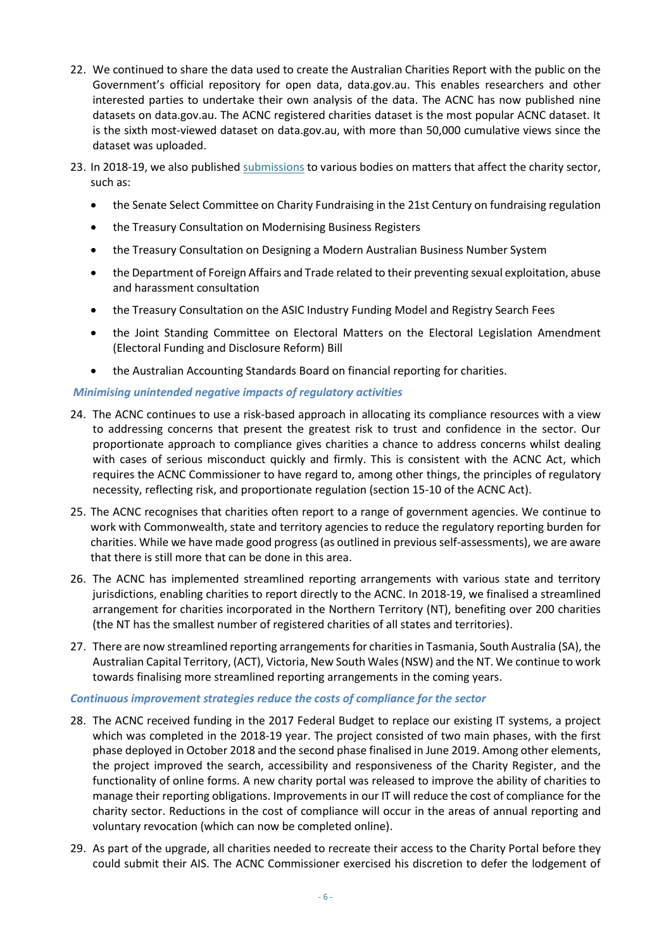- 22. We continued to share the data used to create the Australian Charities Report with the public on the Government's official repository for open data, data.gov.au. This enables researchers and other interested parties to undertake their own analysis of the data. The ACNC has now published nine datasets on data.gov.au. The ACNC registered charities dataset is the most popular ACNC dataset. It is the sixth most-viewed dataset on data.gov.au, with more than 50,000 cumulative views since the dataset was uploaded.
- 23. In 2018-19, we also published [submissions](https://www.acnc.gov.au/about/acnc-submissions) to various bodies on matters that affect the charity sector, such as:
	- the Senate Select Committee on Charity Fundraising in the 21st Century on fundraising regulation
	- the Treasury Consultation on Modernising Business Registers
	- the Treasury Consultation on Designing a Modern Australian Business Number System
	- the Department of Foreign Affairs and Trade related to their preventing sexual exploitation, abuse and harassment consultation
	- the Treasury Consultation on the ASIC Industry Funding Model and Registry Search Fees
	- the Joint Standing Committee on Electoral Matters on the Electoral Legislation Amendment (Electoral Funding and Disclosure Reform) Bill
	- the Australian Accounting Standards Board on financial reporting for charities.

#### *Minimising unintended negative impacts of regulatory activities*

- <span id="page-5-1"></span>24. The ACNC continues to use a risk-based approach in allocating its compliance resources with a view to addressing concerns that present the greatest risk to trust and confidence in the sector. Our proportionate approach to compliance gives charities a chance to address concerns whilst dealing with cases of serious misconduct quickly and firmly. This is consistent with the ACNC Act, which requires the ACNC Commissioner to have regard to, among other things, the principles of regulatory necessity, reflecting risk, and proportionate regulation (section 15-10 of the ACNC Act).
- <span id="page-5-3"></span>25. The ACNC recognises that charities often report to a range of government agencies. We continue to work with Commonwealth, state and territory agencies to reduce the regulatory reporting burden for charities. While we have made good progress (as outlined in previous self-assessments), we are aware that there is still more that can be done in this area.
- 26. The ACNC has implemented streamlined reporting arrangements with various state and territory jurisdictions, enabling charities to report directly to the ACNC. In 2018-19, we finalised a streamlined arrangement for charities incorporated in the Northern Territory (NT), benefiting over 200 charities (the NT has the smallest number of registered charities of all states and territories).
- <span id="page-5-4"></span>27. There are now streamlined reporting arrangementsfor charities in Tasmania, South Australia (SA), the Australian Capital Territory, (ACT), Victoria, New South Wales (NSW) and the NT. We continue to work towards finalising more streamlined reporting arrangements in the coming years.

#### *Continuous improvement strategies reduce the costs of compliance for the sector*

- <span id="page-5-0"></span>28. The ACNC received funding in the 2017 Federal Budget to replace our existing IT systems, a project which was completed in the 2018-19 year. The project consisted of two main phases, with the first phase deployed in October 2018 and the second phase finalised in June 2019. Among other elements, the project improved the search, accessibility and responsiveness of the Charity Register, and the functionality of online forms. A new charity portal was released to improve the ability of charities to manage their reporting obligations. Improvements in our IT will reduce the cost of compliance for the charity sector. Reductions in the cost of compliance will occur in the areas of annual reporting and voluntary revocation (which can now be completed online).
- <span id="page-5-2"></span>29. As part of the upgrade, all charities needed to recreate their access to the Charity Portal before they could submit their AIS. The ACNC Commissioner exercised his discretion to defer the lodgement of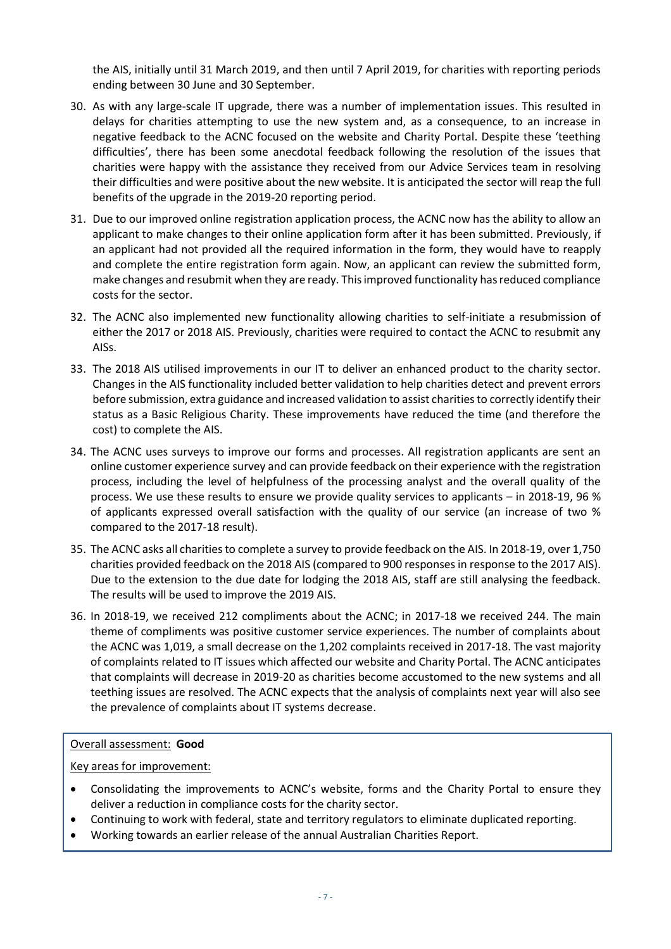the AIS, initially until 31 March 2019, and then until 7 April 2019, for charities with reporting periods ending between 30 June and 30 September.

- <span id="page-6-0"></span>30. As with any large-scale IT upgrade, there was a number of implementation issues. This resulted in delays for charities attempting to use the new system and, as a consequence, to an increase in negative feedback to the ACNC focused on the website and Charity Portal. Despite these 'teething difficulties', there has been some anecdotal feedback following the resolution of the issues that charities were happy with the assistance they received from our Advice Services team in resolving their difficulties and were positive about the new website. It is anticipated the sector will reap the full benefits of the upgrade in the 2019-20 reporting period.
- 31. Due to our improved online registration application process, the ACNC now has the ability to allow an applicant to make changes to their online application form after it has been submitted. Previously, if an applicant had not provided all the required information in the form, they would have to reapply and complete the entire registration form again. Now, an applicant can review the submitted form, make changes and resubmit when they are ready. This improved functionality has reduced compliance costs for the sector.
- 32. The ACNC also implemented new functionality allowing charities to self-initiate a resubmission of either the 2017 or 2018 AIS. Previously, charities were required to contact the ACNC to resubmit any AISs.
- 33. The 2018 AIS utilised improvements in our IT to deliver an enhanced product to the charity sector. Changes in the AIS functionality included better validation to help charities detect and prevent errors before submission, extra guidance and increased validation to assist charities to correctly identify their status as a Basic Religious Charity. These improvements have reduced the time (and therefore the cost) to complete the AIS.
- <span id="page-6-1"></span>34. The ACNC uses surveys to improve our forms and processes. All registration applicants are sent an online customer experience survey and can provide feedback on their experience with the registration process, including the level of helpfulness of the processing analyst and the overall quality of the process. We use these results to ensure we provide quality services to applicants – in 2018-19, 96 % of applicants expressed overall satisfaction with the quality of our service (an increase of two % compared to the 2017-18 result).
- <span id="page-6-2"></span>35. The ACNC asks all charities to complete a survey to provide feedback on the AIS. In 2018-19, over 1,750 charities provided feedback on the 2018 AIS (compared to 900 responses in response to the 2017 AIS). Due to the extension to the due date for lodging the 2018 AIS, staff are still analysing the feedback. The results will be used to improve the 2019 AIS.
- 36. In 2018-19, we received 212 compliments about the ACNC; in 2017-18 we received 244. The main theme of compliments was positive customer service experiences. The number of complaints about the ACNC was 1,019, a small decrease on the 1,202 complaints received in 2017-18. The vast majority of complaints related to IT issues which affected our website and Charity Portal. The ACNC anticipates that complaints will decrease in 2019-20 as charities become accustomed to the new systems and all teething issues are resolved. The ACNC expects that the analysis of complaints next year will also see the prevalence of complaints about IT systems decrease.

#### Overall assessment: **Good**

Key areas for improvement:

- Consolidating the improvements to ACNC's website, forms and the Charity Portal to ensure they deliver a reduction in compliance costs for the charity sector.
- Continuing to work with federal, state and territory regulators to eliminate duplicated reporting.
- Working towards an earlier release of the annual Australian Charities Report.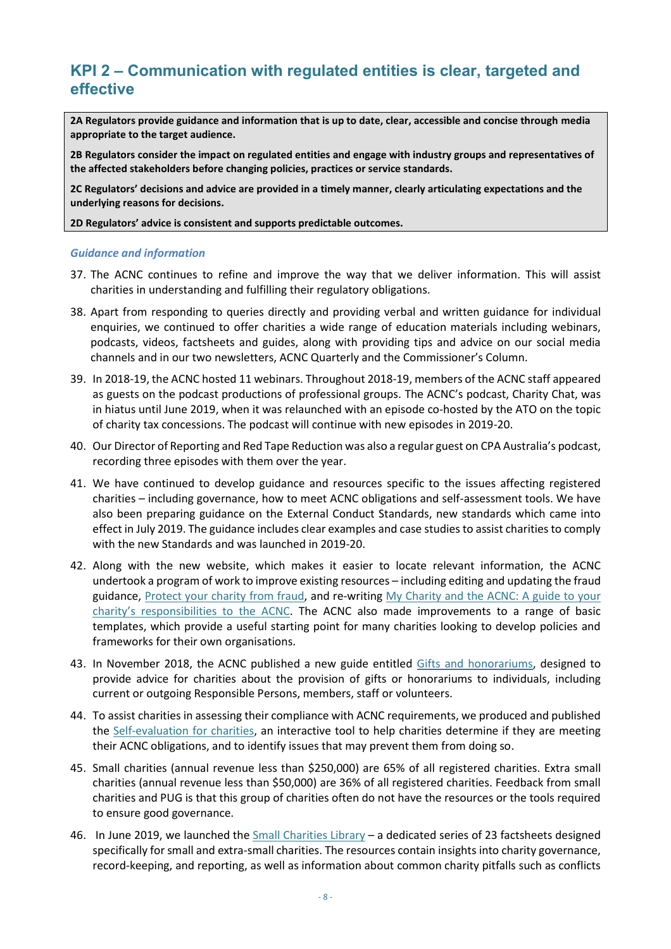### <span id="page-7-0"></span>**KPI 2 – Communication with regulated entities is clear, targeted and effective**

**2A Regulators provide guidance and information that is up to date, clear, accessible and concise through media appropriate to the target audience.**

**2B Regulators consider the impact on regulated entities and engage with industry groups and representatives of the affected stakeholders before changing policies, practices or service standards.**

**2C Regulators' decisions and advice are provided in a timely manner, clearly articulating expectations and the underlying reasons for decisions.**

**2D Regulators' advice is consistent and supports predictable outcomes.**

#### *Guidance and information*

- 37. The ACNC continues to refine and improve the way that we deliver information. This will assist charities in understanding and fulfilling their regulatory obligations.
- 38. Apart from responding to queries directly and providing verbal and written guidance for individual enquiries, we continued to offer charities a wide range of education materials including webinars, podcasts, videos, factsheets and guides, along with providing tips and advice on our social media channels and in our two newsletters, ACNC Quarterly and the Commissioner's Column.
- 39. In 2018-19, the ACNC hosted 11 webinars. Throughout 2018-19, members of the ACNC staff appeared as guests on the podcast productions of professional groups. The ACNC's podcast, Charity Chat, was in hiatus until June 2019, when it was relaunched with an episode co-hosted by the ATO on the topic of charity tax concessions. The podcast will continue with new episodes in 2019-20.
- 40. Our Director of Reporting and Red Tape Reduction was also a regular guest on CPA Australia's podcast, recording three episodes with them over the year.
- 41. We have continued to develop guidance and resources specific to the issues affecting registered charities – including governance, how to meet ACNC obligations and self-assessment tools. We have also been preparing guidance on the External Conduct Standards, new standards which came into effect in July 2019. The guidance includes clear examples and case studies to assist charities to comply with the new Standards and was launched in 2019-20.
- 42. Along with the new website, which makes it easier to locate relevant information, the ACNC undertook a program of work to improve existing resources – including editing and updating the fraud guidance, [Protect your charity](https://www.acnc.gov.au/tools/guides/protect-your-charity-fraud) from fraud, and re-writing [My Charity and the ACNC: A guide to your](https://www.acnc.gov.au/tools/guides/my-charity-and-acnc-guide-your-charitys-responsibilities-acnc)  [charity's responsibilities to the ACNC](https://www.acnc.gov.au/tools/guides/my-charity-and-acnc-guide-your-charitys-responsibilities-acnc). The ACNC also made improvements to a range of basic templates, which provide a useful starting point for many charities looking to develop policies and frameworks for their own organisations.
- 43. In November 2018, the ACNC published a new guide entitled [Gifts and honorariums,](https://www.acnc.gov.au/tools/topic-guides/gifts-and-honorariums) designed to provide advice for charities about the provision of gifts or honorariums to individuals, including current or outgoing Responsible Persons, members, staff or volunteers.
- <span id="page-7-1"></span>44. To assist charities in assessing their compliance with ACNC requirements, we produced and published the [Self-evaluation for charities,](https://www.acnc.gov.au/for-charities/manage-your-charity/obligations-acnc/self-evaluation-charities-meeting-your) an interactive tool to help charities determine if they are meeting their ACNC obligations, and to identify issues that may prevent them from doing so.
- 45. Small charities (annual revenue less than \$250,000) are 65% of all registered charities. Extra small charities (annual revenue less than \$50,000) are 36% of all registered charities. Feedback from small charities and PUG is that this group of charities often do not have the resources or the tools required to ensure good governance.
- 46. In June 2019, we launched the [Small Charities Library](https://www.acnc.gov.au/node/4478081) a dedicated series of 23 factsheets designed specifically for small and extra-small charities. The resources contain insights into charity governance, record-keeping, and reporting, as well as information about common charity pitfalls such as conflicts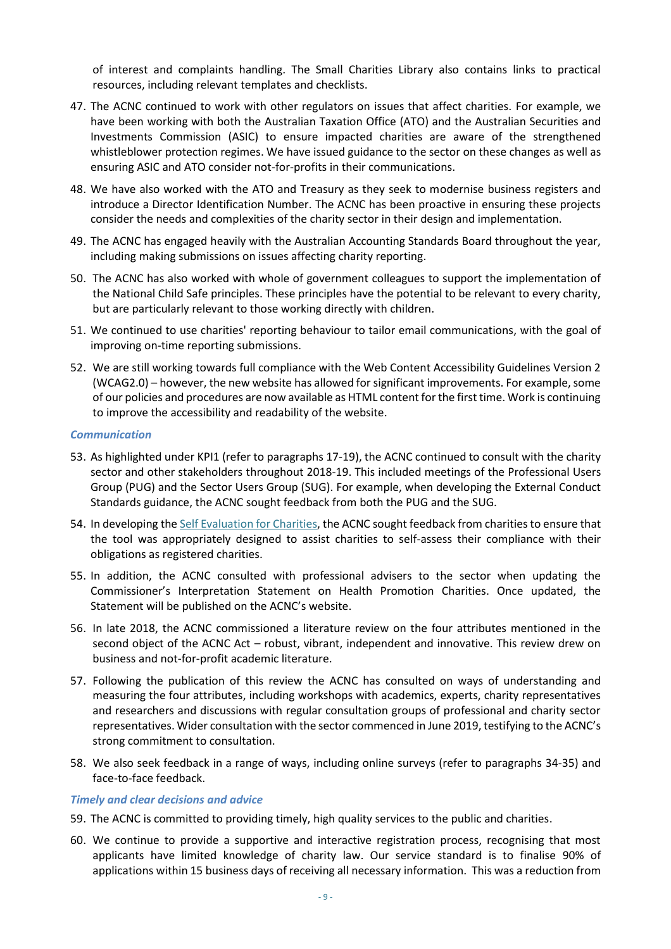of interest and complaints handling. The Small Charities Library also contains links to practical resources, including relevant templates and checklists.

- 47. The ACNC continued to work with other regulators on issues that affect charities. For example, we have been working with both the Australian Taxation Office (ATO) and the Australian Securities and Investments Commission (ASIC) to ensure impacted charities are aware of the strengthened whistleblower protection regimes. We have issued guidance to the sector on these changes as well as ensuring ASIC and ATO consider not-for-profits in their communications.
- 48. We have also worked with the ATO and Treasury as they seek to modernise business registers and introduce a Director Identification Number. The ACNC has been proactive in ensuring these projects consider the needs and complexities of the charity sector in their design and implementation.
- 49. The ACNC has engaged heavily with the Australian Accounting Standards Board throughout the year, including making submissions on issues affecting charity reporting.
- 50. The ACNC has also worked with whole of government colleagues to support the implementation of the National Child Safe principles. These principles have the potential to be relevant to every charity, but are particularly relevant to those working directly with children.
- 51. We continued to use charities' reporting behaviour to tailor email communications, with the goal of improving on-time reporting submissions.
- 52. We are still working towards full compliance with the Web Content Accessibility Guidelines Version 2 (WCAG2.0) – however, the new website has allowed for significant improvements. For example, some of our policies and procedures are now available as HTML content for the first time. Work is continuing to improve the accessibility and readability of the website.

#### *Communication*

- 53. As highlighted under KPI1 (refer to paragraphs [17](#page-4-2)[-19\)](#page-4-3), the ACNC continued to consult with the charity sector and other stakeholders throughout 2018-19. This included meetings of the Professional Users Group (PUG) and the Sector Users Group (SUG). For example, when developing the External Conduct Standards guidance, the ACNC sought feedback from both the PUG and the SUG.
- 54. In developing th[e Self Evaluation for Charities,](https://www.acnc.gov.au/for-charities/manage-your-charity/obligations-acnc/self-evaluation-charities-meeting-your) the ACNC sought feedback from charities to ensure that the tool was appropriately designed to assist charities to self-assess their compliance with their obligations as registered charities.
- 55. In addition, the ACNC consulted with professional advisers to the sector when updating the Commissioner's Interpretation Statement on Health Promotion Charities. Once updated, the Statement will be published on the ACNC's website.
- 56. In late 2018, the ACNC commissioned a literature review on the four attributes mentioned in the second object of the ACNC Act – robust, vibrant, independent and innovative. This review drew on business and not-for-profit academic literature.
- 57. Following the publication of this review the ACNC has consulted on ways of understanding and measuring the four attributes, including workshops with academics, experts, charity representatives and researchers and discussions with regular consultation groups of professional and charity sector representatives. Wider consultation with the sector commenced in June 2019, testifying to the ACNC's strong commitment to consultation.
- 58. We also seek feedback in a range of ways, including online surveys (refer to paragraphs [34](#page-6-1)[-35\)](#page-6-2) and face-to-face feedback.

#### *Timely and clear decisions and advice*

- 59. The ACNC is committed to providing timely, high quality services to the public and charities.
- 60. We continue to provide a supportive and interactive registration process, recognising that most applicants have limited knowledge of charity law. Our service standard is to finalise 90% of applications within 15 business days of receiving all necessary information. This was a reduction from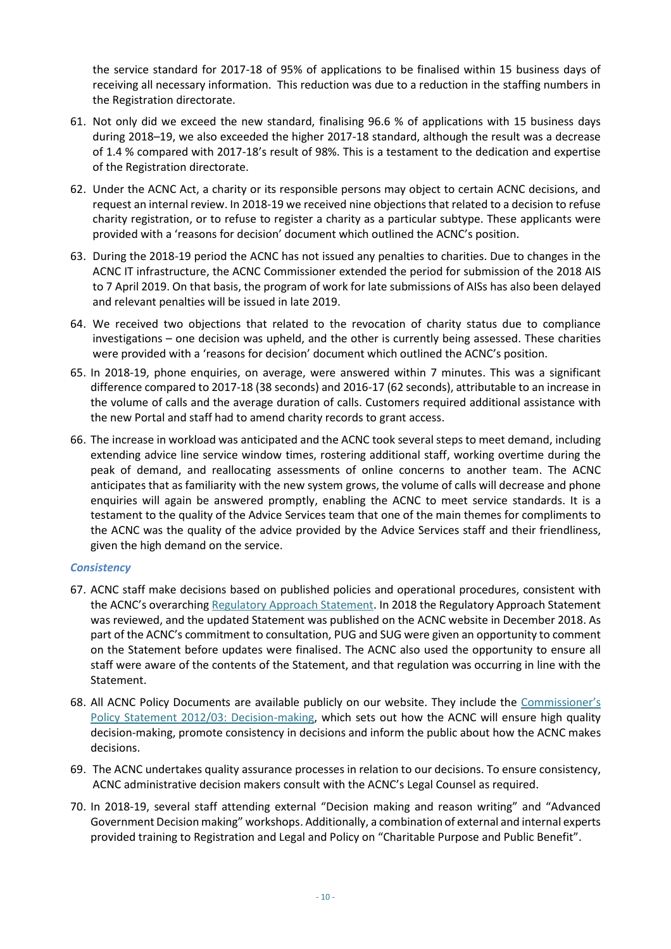the service standard for 2017-18 of 95% of applications to be finalised within 15 business days of receiving all necessary information. This reduction was due to a reduction in the staffing numbers in the Registration directorate.

- 61. Not only did we exceed the new standard, finalising 96.6 % of applications with 15 business days during 2018–19, we also exceeded the higher 2017-18 standard, although the result was a decrease of 1.4 % compared with 2017-18's result of 98%. This is a testament to the dedication and expertise of the Registration directorate.
- 62. Under the ACNC Act, a charity or its responsible persons may object to certain ACNC decisions, and request an internal review. In 2018-19 we received nine objections that related to a decision to refuse charity registration, or to refuse to register a charity as a particular subtype. These applicants were provided with a 'reasons for decision' document which outlined the ACNC's position.
- 63. During the 2018-19 period the ACNC has not issued any penalties to charities. Due to changes in the ACNC IT infrastructure, the ACNC Commissioner extended the period for submission of the 2018 AIS to 7 April 2019. On that basis, the program of work for late submissions of AISs has also been delayed and relevant penalties will be issued in late 2019.
- 64. We received two objections that related to the revocation of charity status due to compliance investigations – one decision was upheld, and the other is currently being assessed. These charities were provided with a 'reasons for decision' document which outlined the ACNC's position.
- 65. In 2018-19, phone enquiries, on average, were answered within 7 minutes. This was a significant difference compared to 2017-18 (38 seconds) and 2016-17 (62 seconds), attributable to an increase in the volume of calls and the average duration of calls. Customers required additional assistance with the new Portal and staff had to amend charity records to grant access.
- 66. The increase in workload was anticipated and the ACNC took several steps to meet demand, including extending advice line service window times, rostering additional staff, working overtime during the peak of demand, and reallocating assessments of online concerns to another team. The ACNC anticipates that as familiarity with the new system grows, the volume of calls will decrease and phone enquiries will again be answered promptly, enabling the ACNC to meet service standards. It is a testament to the quality of the Advice Services team that one of the main themes for compliments to the ACNC was the quality of the advice provided by the Advice Services staff and their friendliness, given the high demand on the service.

#### *Consistency*

- <span id="page-9-0"></span>67. ACNC staff make decisions based on published policies and operational procedures, consistent with the ACNC's overarching [Regulatory Approach Statement.](https://www.acnc.gov.au/raise-concern/regulating-charities/regulatory-approach-statement) In 2018 the Regulatory Approach Statement was reviewed, and the updated Statement was published on the ACNC website in December 2018. As part of the ACNC's commitment to consultation, PUG and SUG were given an opportunity to comment on the Statement before updates were finalised. The ACNC also used the opportunity to ensure all staff were aware of the contents of the Statement, and that regulation was occurring in line with the Statement.
- 68. All ACNC Policy Documents are available publicly on our website. They include the Commissioner's [Policy Statement 2012/03: Decision-making,](https://www.acnc.gov.au/about/corporate-information/corporate-policies/decision-making) which sets out how the ACNC will ensure high quality decision-making, promote consistency in decisions and inform the public about how the ACNC makes decisions.
- 69. The ACNC undertakes quality assurance processes in relation to our decisions. To ensure consistency, ACNC administrative decision makers consult with the ACNC's Legal Counsel as required.
- 70. In 2018-19, several staff attending external "Decision making and reason writing" and "Advanced Government Decision making" workshops. Additionally, a combination of external and internal experts provided training to Registration and Legal and Policy on "Charitable Purpose and Public Benefit".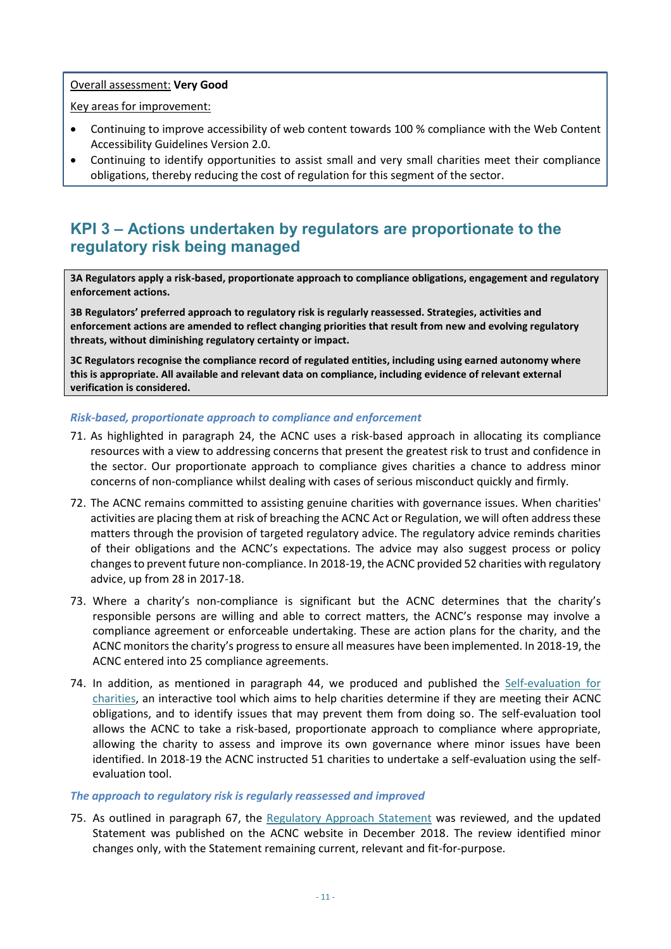#### Overall assessment: **Very Good**

Key areas for improvement:

- Continuing to improve accessibility of web content towards 100 % compliance with the Web Content Accessibility Guidelines Version 2.0.
- Continuing to identify opportunities to assist small and very small charities meet their compliance obligations, thereby reducing the cost of regulation for this segment of the sector.

### <span id="page-10-0"></span>**KPI 3 – Actions undertaken by regulators are proportionate to the regulatory risk being managed**

**3A Regulators apply a risk-based, proportionate approach to compliance obligations, engagement and regulatory enforcement actions.** 

**3B Regulators' preferred approach to regulatory risk is regularly reassessed. Strategies, activities and enforcement actions are amended to reflect changing priorities that result from new and evolving regulatory threats, without diminishing regulatory certainty or impact.**

**3C Regulators recognise the compliance record of regulated entities, including using earned autonomy where this is appropriate. All available and relevant data on compliance, including evidence of relevant external verification is considered.**

#### *Risk-based, proportionate approach to compliance and enforcement*

- 71. As highlighted in paragraph [24,](#page-5-1) the ACNC uses a risk-based approach in allocating its compliance resources with a view to addressing concerns that present the greatest risk to trust and confidence in the sector. Our proportionate approach to compliance gives charities a chance to address minor concerns of non-compliance whilst dealing with cases of serious misconduct quickly and firmly.
- 72. The ACNC remains committed to assisting genuine charities with governance issues. When charities' activities are placing them at risk of breaching the ACNC Act or Regulation, we will often address these matters through the provision of targeted regulatory advice. The regulatory advice reminds charities of their obligations and the ACNC's expectations. The advice may also suggest process or policy changes to prevent future non-compliance. In 2018-19, the ACNC provided 52 charities with regulatory advice, up from 28 in 2017-18.
- 73. Where a charity's non-compliance is significant but the ACNC determines that the charity's responsible persons are willing and able to correct matters, the ACNC's response may involve a compliance agreement or enforceable undertaking. These are action plans for the charity, and the ACNC monitors the charity's progress to ensure all measures have been implemented. In 2018-19, the ACNC entered into 25 compliance agreements.
- 74. In addition, as mentioned in paragraph [44,](#page-7-1) we produced and published the [Self-evaluation for](https://www.acnc.gov.au/for-charities/manage-your-charity/obligations-acnc/self-evaluation-charities-meeting-your)  [charities,](https://www.acnc.gov.au/for-charities/manage-your-charity/obligations-acnc/self-evaluation-charities-meeting-your) an interactive tool which aims to help charities determine if they are meeting their ACNC obligations, and to identify issues that may prevent them from doing so. The self-evaluation tool allows the ACNC to take a risk-based, proportionate approach to compliance where appropriate, allowing the charity to assess and improve its own governance where minor issues have been identified. In 2018-19 the ACNC instructed 51 charities to undertake a self-evaluation using the selfevaluation tool.

#### *The approach to regulatory risk is regularly reassessed and improved*

75. As outlined in paragraph [67,](#page-9-0) the [Regulatory Approach Statement](https://www.acnc.gov.au/raise-concern/regulating-charities/regulatory-approach-statement) was reviewed, and the updated Statement was published on the ACNC website in December 2018. The review identified minor changes only, with the Statement remaining current, relevant and fit-for-purpose.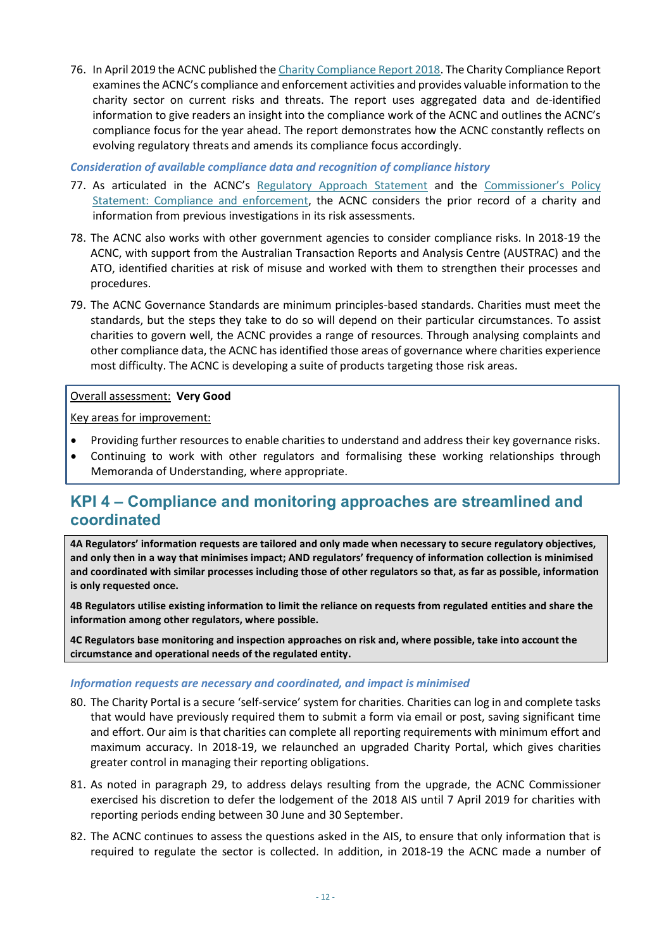76. In April 2019 the ACNC published th[e Charity Compliance Report 2018.](http://www.acnc.gov.au/compliancereport) The Charity Compliance Report examines the ACNC's compliance and enforcement activities and provides valuable information to the charity sector on current risks and threats. The report uses aggregated data and de-identified information to give readers an insight into the compliance work of the ACNC and outlines the ACNC's compliance focus for the year ahead. The report demonstrates how the ACNC constantly reflects on evolving regulatory threats and amends its compliance focus accordingly.

*Consideration of available compliance data and recognition of compliance history*

- 77. As articulated in the ACNC's [Regulatory Approach Statement](https://www.acnc.gov.au/raise-concern/regulating-charities/regulatory-approach-statement) and the [Commissioner's Policy](https://www.acnc.gov.au/about/corporate-information/corporate-policies/compliance-and-enforcement)  [Statement: Compliance and enforcement,](https://www.acnc.gov.au/about/corporate-information/corporate-policies/compliance-and-enforcement) the ACNC considers the prior record of a charity and information from previous investigations in its risk assessments.
- 78. The ACNC also works with other government agencies to consider compliance risks. In 2018-19 the ACNC, with support from the Australian Transaction Reports and Analysis Centre (AUSTRAC) and the ATO, identified charities at risk of misuse and worked with them to strengthen their processes and procedures.
- 79. The ACNC Governance Standards are minimum principles-based standards. Charities must meet the standards, but the steps they take to do so will depend on their particular circumstances. To assist charities to govern well, the ACNC provides a range of resources. Through analysing complaints and other compliance data, the ACNC has identified those areas of governance where charities experience most difficulty. The ACNC is developing a suite of products targeting those risk areas.

#### Overall assessment: **Very Good**

Key areas for improvement:

- Providing further resources to enable charities to understand and address their key governance risks.
- Continuing to work with other regulators and formalising these working relationships through Memoranda of Understanding, where appropriate.

### <span id="page-11-0"></span>**KPI 4 – Compliance and monitoring approaches are streamlined and coordinated**

**4A Regulators' information requests are tailored and only made when necessary to secure regulatory objectives, and only then in a way that minimises impact; AND regulators' frequency of information collection is minimised and coordinated with similar processes including those of other regulators so that, as far as possible, information is only requested once.**

**4B Regulators utilise existing information to limit the reliance on requests from regulated entities and share the information among other regulators, where possible.**

**4C Regulators base monitoring and inspection approaches on risk and, where possible, take into account the circumstance and operational needs of the regulated entity.** 

#### *Information requests are necessary and coordinated, and impact is minimised*

- 80. The Charity Portal is a secure 'self-service' system for charities. Charities can log in and complete tasks that would have previously required them to submit a form via email or post, saving significant time and effort. Our aim is that charities can complete all reporting requirements with minimum effort and maximum accuracy. In 2018-19, we relaunched an upgraded Charity Portal, which gives charities greater control in managing their reporting obligations.
- 81. As noted in paragraph [29,](#page-5-2) to address delays resulting from the upgrade, the ACNC Commissioner exercised his discretion to defer the lodgement of the 2018 AIS until 7 April 2019 for charities with reporting periods ending between 30 June and 30 September.
- 82. The ACNC continues to assess the questions asked in the AIS, to ensure that only information that is required to regulate the sector is collected. In addition, in 2018-19 the ACNC made a number of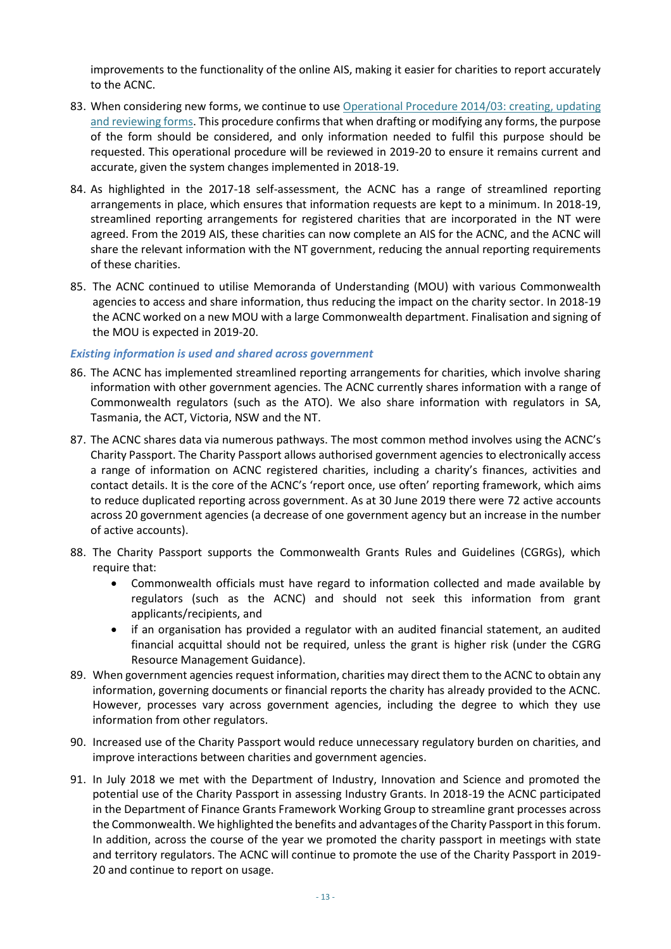improvements to the functionality of the online AIS, making it easier for charities to report accurately to the ACNC.

- 83. When considering new forms, we continue to use Operational Procedure 2014/03: creating, updating [and reviewing forms.](https://www.acnc.gov.au/about/corporate-information/corporate-policies/operational-procedure-creating-updating-and-0) This procedure confirms that when drafting or modifying any forms, the purpose of the form should be considered, and only information needed to fulfil this purpose should be requested. This operational procedure will be reviewed in 2019-20 to ensure it remains current and accurate, given the system changes implemented in 2018-19.
- 84. As highlighted in the 2017-18 self-assessment, the ACNC has a range of streamlined reporting arrangements in place, which ensures that information requests are kept to a minimum. In 2018-19, streamlined reporting arrangements for registered charities that are incorporated in the NT were agreed. From the 2019 AIS, these charities can now complete an AIS for the ACNC, and the ACNC will share the relevant information with the NT government, reducing the annual reporting requirements of these charities.
- 85. The ACNC continued to utilise Memoranda of Understanding (MOU) with various Commonwealth agencies to access and share information, thus reducing the impact on the charity sector. In 2018-19 the ACNC worked on a new MOU with a large Commonwealth department. Finalisation and signing of the MOU is expected in 2019-20.

#### *Existing information is used and shared across government*

- 86. The ACNC has implemented streamlined reporting arrangements for charities, which involve sharing information with other government agencies. The ACNC currently shares information with a range of Commonwealth regulators (such as the ATO). We also share information with regulators in SA, Tasmania, the ACT, Victoria, NSW and the NT.
- 87. The ACNC shares data via numerous pathways. The most common method involves using the ACNC's Charity Passport. The Charity Passport allows authorised government agencies to electronically access a range of information on ACNC registered charities, including a charity's finances, activities and contact details. It is the core of the ACNC's 'report once, use often' reporting framework, which aims to reduce duplicated reporting across government. As at 30 June 2019 there were 72 active accounts across 20 government agencies (a decrease of one government agency but an increase in the number of active accounts).
- 88. The Charity Passport supports the Commonwealth Grants Rules and Guidelines (CGRGs), which require that:
	- Commonwealth officials must have regard to information collected and made available by regulators (such as the ACNC) and should not seek this information from grant applicants/recipients, and
	- if an organisation has provided a regulator with an audited financial statement, an audited financial acquittal should not be required, unless the grant is higher risk (under the CGRG Resource Management Guidance).
- 89. When government agencies request information, charities may direct them to the ACNC to obtain any information, governing documents or financial reports the charity has already provided to the ACNC. However, processes vary across government agencies, including the degree to which they use information from other regulators.
- 90. Increased use of the Charity Passport would reduce unnecessary regulatory burden on charities, and improve interactions between charities and government agencies.
- 91. In July 2018 we met with the Department of Industry, Innovation and Science and promoted the potential use of the Charity Passport in assessing Industry Grants. In 2018-19 the ACNC participated in the Department of Finance Grants Framework Working Group to streamline grant processes across the Commonwealth. We highlighted the benefits and advantages of the Charity Passport in this forum. In addition, across the course of the year we promoted the charity passport in meetings with state and territory regulators. The ACNC will continue to promote the use of the Charity Passport in 2019- 20 and continue to report on usage.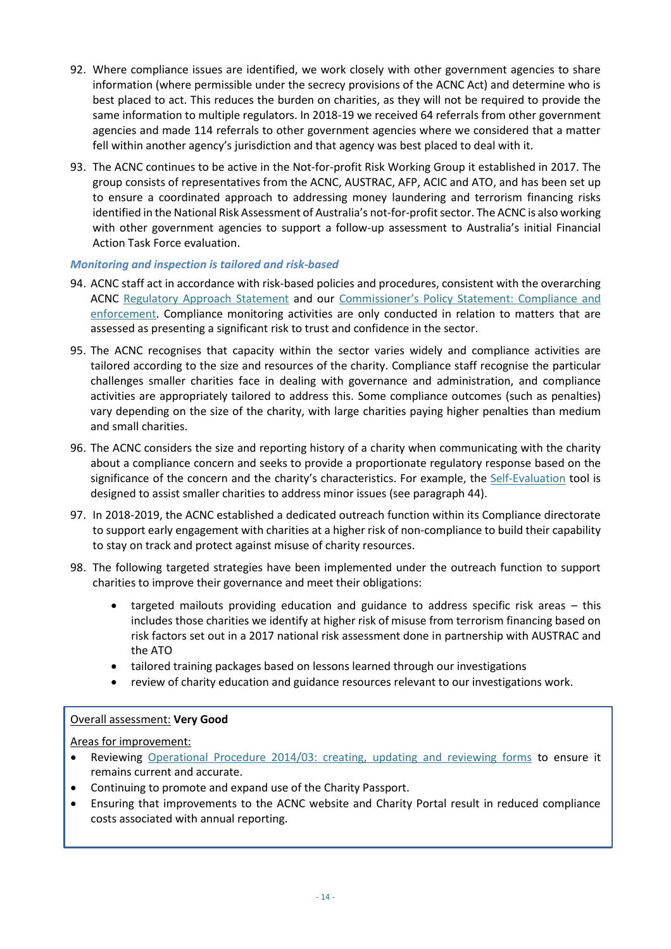- <span id="page-13-0"></span>92. Where compliance issues are identified, we work closely with other government agencies to share information (where permissible under the secrecy provisions of the ACNC Act) and determine who is best placed to act. This reduces the burden on charities, as they will not be required to provide the same information to multiple regulators. In 2018-19 we received 64 referrals from other government agencies and made 114 referrals to other government agencies where we considered that a matter fell within another agency's jurisdiction and that agency was best placed to deal with it.
- 93. The ACNC continues to be active in the Not-for-profit Risk Working Group it established in 2017. The group consists of representatives from the ACNC, AUSTRAC, AFP, ACIC and ATO, and has been set up to ensure a coordinated approach to addressing money laundering and terrorism financing risks identified in the National Risk Assessment of Australia's not-for-profit sector. The ACNC is also working with other government agencies to support a follow-up assessment to Australia's initial Financial Action Task Force evaluation.

#### *Monitoring and inspection is tailored and risk-based*

- 94. ACNC staff act in accordance with risk-based policies and procedures, consistent with the overarching ACNC [Regulatory Approach Statement](https://www.acnc.gov.au/raise-concern/regulating-charities/regulatory-approach-statement) and our C[ommissioner's Policy Statement: Compliance and](https://www.acnc.gov.au/about/corporate-information/corporate-policies/compliance-and-enforcement)  [enforcement.](https://www.acnc.gov.au/about/corporate-information/corporate-policies/compliance-and-enforcement) Compliance monitoring activities are only conducted in relation to matters that are assessed as presenting a significant risk to trust and confidence in the sector.
- 95. The ACNC recognises that capacity within the sector varies widely and compliance activities are tailored according to the size and resources of the charity. Compliance staff recognise the particular challenges smaller charities face in dealing with governance and administration, and compliance activities are appropriately tailored to address this. Some compliance outcomes (such as penalties) vary depending on the size of the charity, with large charities paying higher penalties than medium and small charities.
- 96. The ACNC considers the size and reporting history of a charity when communicating with the charity about a compliance concern and seeks to provide a proportionate regulatory response based on the significance of the concern and the charity's characteristics. For example, the [Self-Evaluation](https://www.acnc.gov.au/for-charities/manage-your-charity/obligations-acnc/self-evaluation-charities-meeting-your) tool is designed to assist smaller charities to address minor issues (see paragrap[h 44\)](#page-7-1).
- 97. In 2018-2019, the ACNC established a dedicated outreach function within its Compliance directorate to support early engagement with charities at a higher risk of non-compliance to build their capability to stay on track and protect against misuse of charity resources.
- 98. The following targeted strategies have been implemented under the outreach function to support charities to improve their governance and meet their obligations:
	- targeted mailouts providing education and guidance to address specific risk areas this includes those charities we identify at higher risk of misuse from terrorism financing based on risk factors set out in a 2017 national risk assessment done in partnership with AUSTRAC and the ATO
	- tailored training packages based on lessons learned through our investigations
	- review of charity education and guidance resources relevant to our investigations work.

#### Overall assessment: **Very Good**

#### Areas for improvement:

- Reviewing [Operational Procedure 2014/03: creating, updating and reviewing forms](https://www.acnc.gov.au/about/corporate-information/corporate-policies/operational-procedure-creating-updating-and-0) to ensure it remains current and accurate.
- Continuing to promote and expand use of the Charity Passport.
- Ensuring that improvements to the ACNC website and Charity Portal result in reduced compliance costs associated with annual reporting.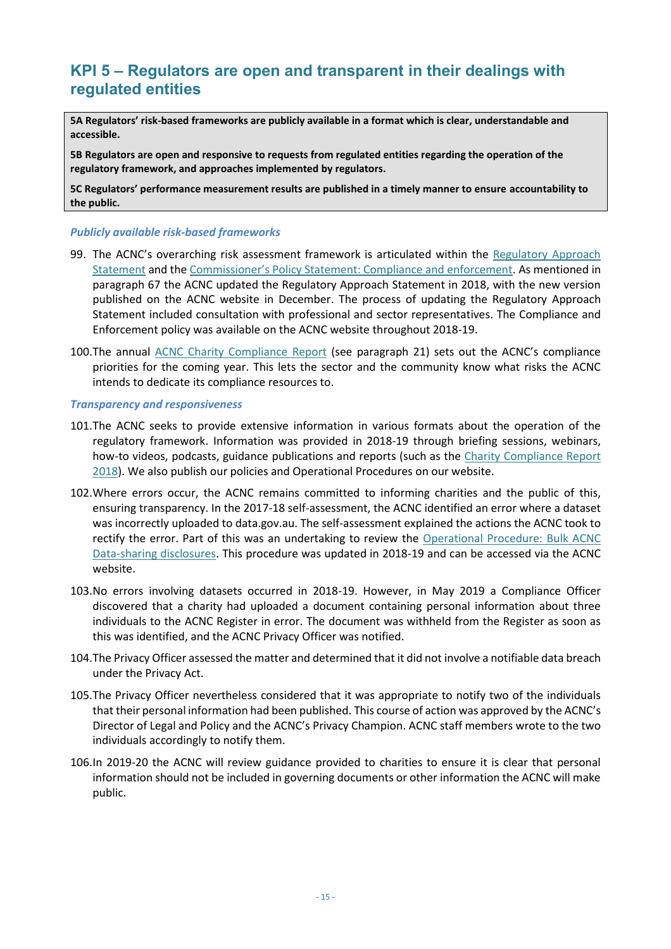### <span id="page-14-0"></span>**KPI 5 – Regulators are open and transparent in their dealings with regulated entities**

**5A Regulators' risk-based frameworks are publicly available in a format which is clear, understandable and accessible.**

**5B Regulators are open and responsive to requests from regulated entities regarding the operation of the regulatory framework, and approaches implemented by regulators.** 

**5C Regulators' performance measurement results are published in a timely manner to ensure accountability to the public.**

#### *Publicly available risk-based frameworks*

- 99. The ACNC's overarching risk assessment framework is articulated within the [Regulatory Approach](https://www.acnc.gov.au/raise-concern/regulating-charities/regulatory-approach-statement)  [Statement](https://www.acnc.gov.au/raise-concern/regulating-charities/regulatory-approach-statement) and the [Commissioner's Policy Statement: Compliance and enforcement](https://www.acnc.gov.au/about/corporate-information/corporate-policies/compliance-and-enforcement). As mentioned in paragraph [67](#page-9-0) the ACNC updated the Regulatory Approach Statement in 2018, with the new version published on the ACNC website in December. The process of updating the Regulatory Approach Statement included consultation with professional and sector representatives. The Compliance and Enforcement policy was available on the ACNC website throughout 2018-19.
- 100.The annual [ACNC Charity Compliance Report](https://www.acnc.gov.au/tools/reports/compliance-report) (see paragraph [21\)](#page-4-4) sets out the ACNC's compliance priorities for the coming year. This lets the sector and the community know what risks the ACNC intends to dedicate its compliance resources to.

#### *Transparency and responsiveness*

- 101.The ACNC seeks to provide extensive information in various formats about the operation of the regulatory framework. Information was provided in 2018-19 through briefing sessions, webinars, how-to videos, podcasts, guidance publications and reports (such as the [Charity Compliance Report](https://www.acnc.gov.au/tools/reports/compliance-report)  [2018\)](https://www.acnc.gov.au/tools/reports/compliance-report). We also publish our policies and Operational Procedures on our website.
- 102.Where errors occur, the ACNC remains committed to informing charities and the public of this, ensuring transparency. In the 2017-18 self-assessment, the ACNC identified an error where a dataset was incorrectly uploaded to data.gov.au. The self-assessment explained the actions the ACNC took to rectify the error. Part of this was an undertaking to review the [Operational Procedure: Bulk ACNC](https://www.acnc.gov.au/node/3248121)  [Data-sharing disclosures.](https://www.acnc.gov.au/node/3248121) This procedure was updated in 2018-19 and can be accessed via the ACNC website.
- 103.No errors involving datasets occurred in 2018-19. However, in May 2019 a Compliance Officer discovered that a charity had uploaded a document containing personal information about three individuals to the ACNC Register in error. The document was withheld from the Register as soon as this was identified, and the ACNC Privacy Officer was notified.
- 104.The Privacy Officer assessed the matter and determined that it did not involve a notifiable data breach under the Privacy Act.
- 105.The Privacy Officer nevertheless considered that it was appropriate to notify two of the individuals that their personal information had been published. This course of action was approved by the ACNC's Director of Legal and Policy and the ACNC's Privacy Champion. ACNC staff members wrote to the two individuals accordingly to notify them.
- 106.In 2019-20 the ACNC will review guidance provided to charities to ensure it is clear that personal information should not be included in governing documents or other information the ACNC will make public.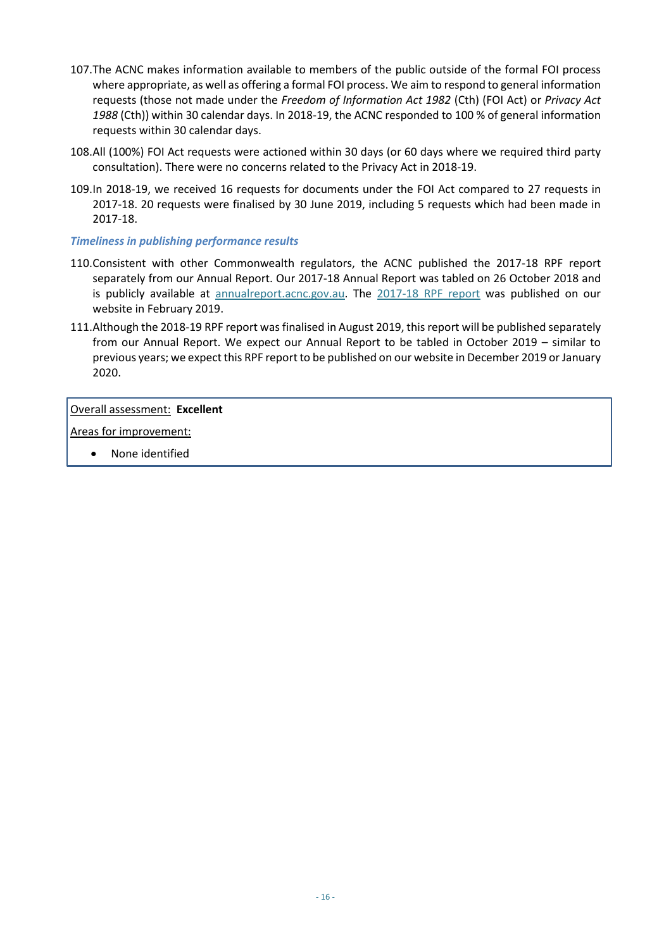- 107.The ACNC makes information available to members of the public outside of the formal FOI process where appropriate, as well as offering a formal FOI process. We aim to respond to general information requests (those not made under the *Freedom of Information Act 1982* (Cth) (FOI Act) or *Privacy Act 1988* (Cth)) within 30 calendar days. In 2018-19, the ACNC responded to 100 % of general information requests within 30 calendar days.
- 108.All (100%) FOI Act requests were actioned within 30 days (or 60 days where we required third party consultation). There were no concerns related to the Privacy Act in 2018-19.
- 109.In 2018-19, we received 16 requests for documents under the FOI Act compared to 27 requests in 2017-18. 20 requests were finalised by 30 June 2019, including 5 requests which had been made in 2017-18.

#### *Timeliness in publishing performance results*

- 110.Consistent with other Commonwealth regulators, the ACNC published the 2017-18 RPF report separately from our Annual Report. Our 2017-18 Annual Report was tabled on 26 October 2018 and is publicly available at [annualreport.acnc.gov.au.](https://www.acnc.gov.au/tools/reports/acnc-annual-report-2017-2018) The 2017-18 [RPF report](http://www.acnc.gov.au/ACNC/About_ACNC/Corporate_info/RPF_measures/ACNC/Edu/RPF_measures.aspx) was published on our website in February 2019.
- 111.Although the 2018-19 RPF report was finalised in August 2019, this report will be published separately from our Annual Report. We expect our Annual Report to be tabled in October 2019 – similar to previous years; we expect this RPF report to be published on our website in December 2019 or January 2020.

#### Overall assessment: **Excellent**

Areas for improvement:

• None identified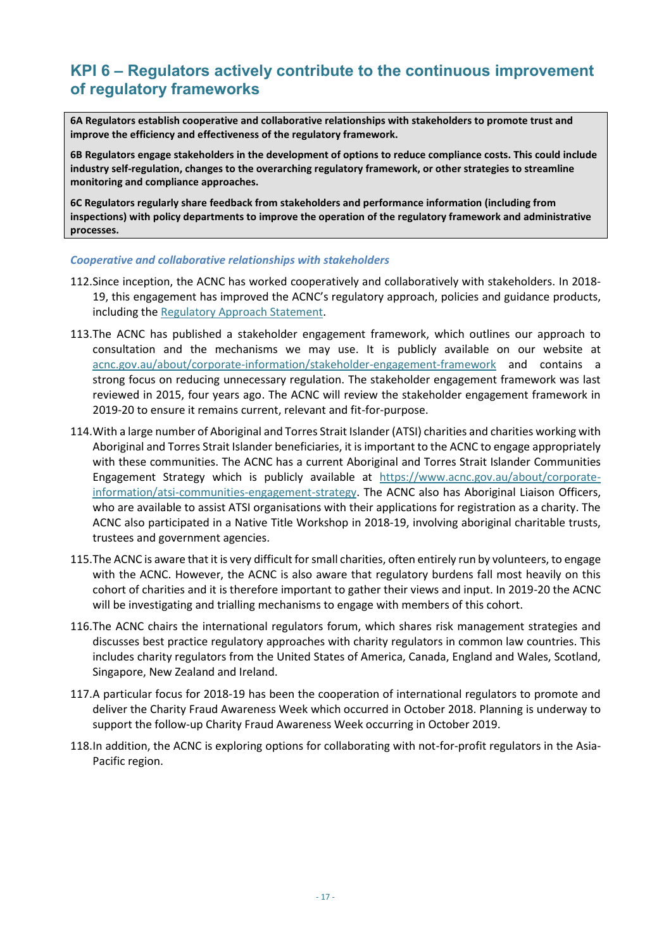### <span id="page-16-0"></span>**KPI 6 – Regulators actively contribute to the continuous improvement of regulatory frameworks**

**6A Regulators establish cooperative and collaborative relationships with stakeholders to promote trust and improve the efficiency and effectiveness of the regulatory framework.**

**6B Regulators engage stakeholders in the development of options to reduce compliance costs. This could include industry self-regulation, changes to the overarching regulatory framework, or other strategies to streamline monitoring and compliance approaches.**

**6C Regulators regularly share feedback from stakeholders and performance information (including from inspections) with policy departments to improve the operation of the regulatory framework and administrative processes.**

#### *Cooperative and collaborative relationships with stakeholders*

- 112.Since inception, the ACNC has worked cooperatively and collaboratively with stakeholders. In 2018- 19, this engagement has improved the ACNC's regulatory approach, policies and guidance products, including th[e Regulatory Approach Statement.](https://www.acnc.gov.au/raise-concern/regulating-charities/regulatory-approach-statement)
- 113.The ACNC has published a stakeholder engagement framework, which outlines our approach to consultation and the mechanisms we may use. It is publicly available on our website at [acnc.gov.au/about/corporate-information/stakeholder-engagement-framework](https://www.acnc.gov.au/about/corporate-information/stakeholder-engagement-framework) and contains a strong focus on reducing unnecessary regulation. The stakeholder engagement framework was last reviewed in 2015, four years ago. The ACNC will review the stakeholder engagement framework in 2019-20 to ensure it remains current, relevant and fit-for-purpose.
- 114.With a large number of Aboriginal and Torres Strait Islander (ATSI) charities and charities working with Aboriginal and Torres Strait Islander beneficiaries, it is important to the ACNC to engage appropriately with these communities. The ACNC has a current Aboriginal and Torres Strait Islander Communities Engagement Strategy which is publicly available at [https://www.acnc.gov.au/about/corporate](https://www.acnc.gov.au/about/corporate-information/atsi-communities-engagement-strategy)[information/atsi-communities-engagement-strategy.](https://www.acnc.gov.au/about/corporate-information/atsi-communities-engagement-strategy) The ACNC also has Aboriginal Liaison Officers, who are available to assist ATSI organisations with their applications for registration as a charity. The ACNC also participated in a Native Title Workshop in 2018-19, involving aboriginal charitable trusts, trustees and government agencies.
- 115.The ACNC is aware that it is very difficult for small charities, often entirely run by volunteers, to engage with the ACNC. However, the ACNC is also aware that regulatory burdens fall most heavily on this cohort of charities and it is therefore important to gather their views and input. In 2019-20 the ACNC will be investigating and trialling mechanisms to engage with members of this cohort.
- 116.The ACNC chairs the international regulators forum, which shares risk management strategies and discusses best practice regulatory approaches with charity regulators in common law countries. This includes charity regulators from the United States of America, Canada, England and Wales, Scotland, Singapore, New Zealand and Ireland.
- 117.A particular focus for 2018-19 has been the cooperation of international regulators to promote and deliver the Charity Fraud Awareness Week which occurred in October 2018. Planning is underway to support the follow-up Charity Fraud Awareness Week occurring in October 2019.
- 118.In addition, the ACNC is exploring options for collaborating with not-for-profit regulators in the Asia-Pacific region.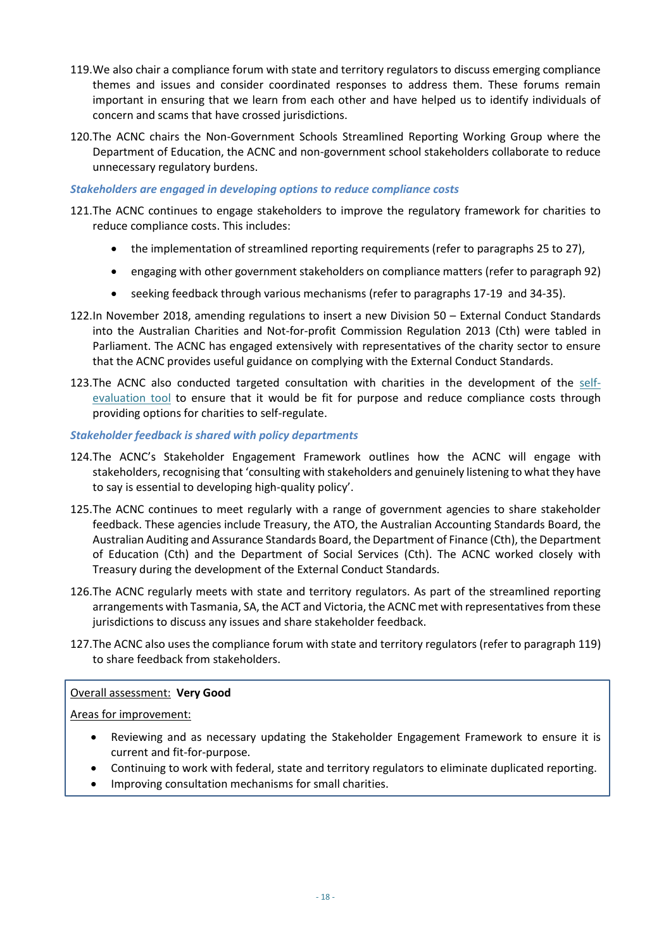- <span id="page-17-0"></span>119.We also chair a compliance forum with state and territory regulators to discuss emerging compliance themes and issues and consider coordinated responses to address them. These forums remain important in ensuring that we learn from each other and have helped us to identify individuals of concern and scams that have crossed jurisdictions.
- 120.The ACNC chairs the Non-Government Schools Streamlined Reporting Working Group where the Department of Education, the ACNC and non-government school stakeholders collaborate to reduce unnecessary regulatory burdens.

#### *Stakeholders are engaged in developing options to reduce compliance costs*

- 121.The ACNC continues to engage stakeholders to improve the regulatory framework for charities to reduce compliance costs. This includes:
	- the implementation of streamlined reporting requirements (refer to paragraphs [25](#page-5-3) to [27\)](#page-5-4),
	- engaging with other government stakeholders on compliance matters (refer to paragraph [92\)](#page-13-0)
	- seeking feedback through various mechanisms (refer to paragraphs [17](#page-4-2)[-19](#page-4-3) an[d 34](#page-6-1)[-35\)](#page-6-2).
- 122.In November 2018, amending regulations to insert a new Division 50 External Conduct Standards into the Australian Charities and Not-for-profit Commission Regulation 2013 (Cth) were tabled in Parliament. The ACNC has engaged extensively with representatives of the charity sector to ensure that the ACNC provides useful guidance on complying with the External Conduct Standards.
- 123.The ACNC also conducted targeted consultation with charities in the development of the [self](https://www.acnc.gov.au/for-charities/manage-your-charity/obligations-acnc/self-evaluation-charities-meeting-your)[evaluation](https://www.acnc.gov.au/for-charities/manage-your-charity/obligations-acnc/self-evaluation-charities-meeting-your) tool to ensure that it would be fit for purpose and reduce compliance costs through providing options for charities to self-regulate.

#### *Stakeholder feedback is shared with policy departments*

- 124.The ACNC's Stakeholder Engagement Framework outlines how the ACNC will engage with stakeholders, recognising that 'consulting with stakeholders and genuinely listening to what they have to say is essential to developing high-quality policy'.
- 125.The ACNC continues to meet regularly with a range of government agencies to share stakeholder feedback. These agencies include Treasury, the ATO, the Australian Accounting Standards Board, the Australian Auditing and Assurance Standards Board, the Department of Finance (Cth), the Department of Education (Cth) and the Department of Social Services (Cth). The ACNC worked closely with Treasury during the development of the External Conduct Standards.
- 126.The ACNC regularly meets with state and territory regulators. As part of the streamlined reporting arrangements with Tasmania, SA, the ACT and Victoria, the ACNC met with representatives from these jurisdictions to discuss any issues and share stakeholder feedback.
- 127.The ACNC also uses the compliance forum with state and territory regulators (refer to paragrap[h 119\)](#page-17-0) to share feedback from stakeholders.

#### Overall assessment: **Very Good**

#### Areas for improvement:

Ï

- Reviewing and as necessary updating the Stakeholder Engagement Framework to ensure it is current and fit-for-purpose.
- Continuing to work with federal, state and territory regulators to eliminate duplicated reporting.
- Improving consultation mechanisms for small charities.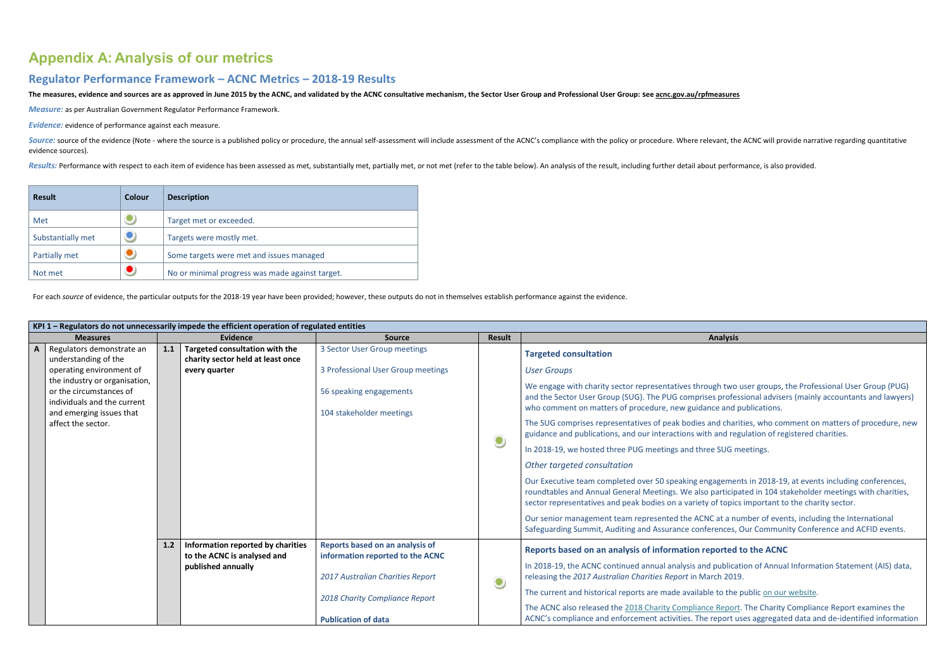# <span id="page-18-0"></span>**Appendix A: Analysis of our metrics**

### **Regulator Performance Framework – ACNC Metrics – 2018-19 Results**

The measures, evidence and sources are as approved in June 2015 by the ACNC, and validated by the ACNC consultative mechanism, the Sector User Group and Professional User Group: Se[e acnc.gov.au/rpfmeasures](http://acnc.gov.au/rpfmeasures)

*Measure:* as per Australian Government Regulator Performance Framework.

Source: source of the evidence (Note - where the source is a published policy or procedure, the annual self-assessment will include assessment of the ACNC's compliance with the policy or procedure. Where relevant, the ACNC evidence sources).

Results: Performance with respect to each item of evidence has been assessed as met, substantially met, partially met, or not met (refer to the table below). An analysis of the result, including further detail about perfor

*Evidence:* evidence of performance against each measure.

| <b>Result</b>     | Colour | <b>Description</b>                              |  |  |
|-------------------|--------|-------------------------------------------------|--|--|
| Met               |        | Target met or exceeded.                         |  |  |
| Substantially met |        | Targets were mostly met.                        |  |  |
| Partially met     |        | Some targets were met and issues managed        |  |  |
| Not met           |        | No or minimal progress was made against target. |  |  |

For each *source* of evidence, the particular outputs for the 2018-19 year have been provided; however, these outputs do not in themselves establish performance against the evidence.

|              | KPI 1 - Regulators do not unnecessarily impede the efficient operation of regulated entities                   |     |                                                                                        |                                                                     |                                                               |                                                                                                                                                                                          |  |  |
|--------------|----------------------------------------------------------------------------------------------------------------|-----|----------------------------------------------------------------------------------------|---------------------------------------------------------------------|---------------------------------------------------------------|------------------------------------------------------------------------------------------------------------------------------------------------------------------------------------------|--|--|
|              | <b>Measures</b>                                                                                                |     | <b>Evidence</b>                                                                        | <b>Source</b>                                                       | <b>Result</b>                                                 | <b>Analysis</b>                                                                                                                                                                          |  |  |
| $\mathbf{A}$ | Regulators demonstrate an<br>understanding of the<br>operating environment of<br>the industry or organisation, | 1.1 | Targeted consultation with the<br>charity sector held at least once<br>every quarter   | 3 Sector User Group meetings<br>3 Professional User Group meetings  |                                                               | <b>Targeted consultation</b><br><b>User Groups</b><br>We engage with charity sector representatives through two u                                                                        |  |  |
|              | or the circumstances of<br>individuals and the current<br>and emerging issues that                             |     |                                                                                        | 56 speaking engagements<br>104 stakeholder meetings                 |                                                               | and the Sector User Group (SUG). The PUG comprises profess<br>who comment on matters of procedure, new guidance and po                                                                   |  |  |
|              | affect the sector.                                                                                             |     |                                                                                        |                                                                     | $\bullet$                                                     | The SUG comprises representatives of peak bodies and charit<br>guidance and publications, and our interactions with and regu                                                             |  |  |
|              |                                                                                                                |     |                                                                                        |                                                                     |                                                               | In 2018-19, we hosted three PUG meetings and three SUG me                                                                                                                                |  |  |
|              |                                                                                                                |     |                                                                                        |                                                                     |                                                               | Other targeted consultation                                                                                                                                                              |  |  |
|              |                                                                                                                |     |                                                                                        |                                                                     |                                                               | Our Executive team completed over 50 speaking engagement<br>roundtables and Annual General Meetings. We also participat<br>sector representatives and peak bodies on a variety of topics |  |  |
|              |                                                                                                                |     |                                                                                        |                                                                     |                                                               | Our senior management team represented the ACNC at a nur<br>Safeguarding Summit, Auditing and Assurance conferences, C                                                                   |  |  |
|              |                                                                                                                | 1.2 | Information reported by charities<br>to the ACNC is analysed and<br>published annually | Reports based on an analysis of<br>information reported to the ACNC |                                                               | Reports based on an analysis of information reported to<br>In 2018-19, the ACNC continued annual analysis and publicati                                                                  |  |  |
|              |                                                                                                                |     | 2017 Australian Charities Report                                                       | $\bullet$                                                           | releasing the 2017 Australian Charities Report in March 2019. |                                                                                                                                                                                          |  |  |
|              |                                                                                                                |     |                                                                                        | 2018 Charity Compliance Report                                      |                                                               | The current and historical reports are made available to the p<br>The ACNC also released the 2018 Charity Compliance Report.                                                             |  |  |
|              |                                                                                                                |     |                                                                                        | <b>Publication of data</b>                                          |                                                               | ACNC's compliance and enforcement activities. The report us                                                                                                                              |  |  |

I two user groups, the Professional User Group (PUG) and the Sector User Sector User Group (Sugaranoup conserval advisers). The Pugarants and lawyers) and publications.

charities, who comment on matters of procedure, new nd regulation of registered charities.

**IUG meetings.** 

ements in 2018-19, at events including conferences, rticipated in 104 stakeholder meetings with charities, topics important to the charity sector.

a number of events, including the International nces, Our Community Conference and ACFID events.

#### **Reports belong to the ACNC**

Iblication of Annual Information Statement (AIS) data,

the public [on our website.](https://www.acnc.gov.au/tools/topic-guides/australian-charities-report)

eport. The Charity Compliance Report examines the oort uses aggregated data and de-identified information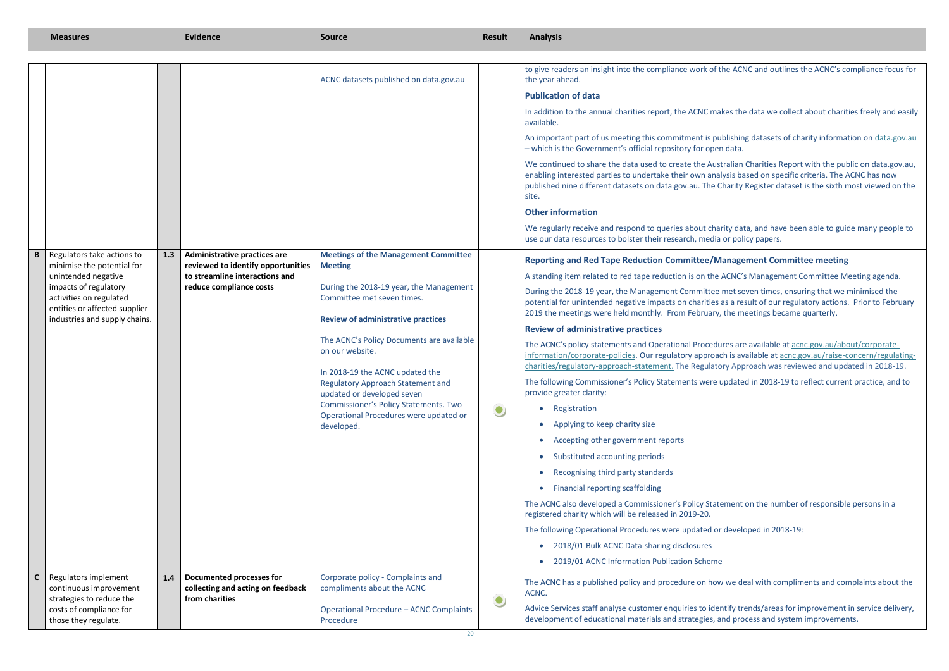the ACNC and outlines the ACNC's compliance focus for

In addition to the data we collect about charities freely and easily

ablishing datasets of charity information on [data.gov.au](https://acncoffice.sharepoint.com/sites/Teams/RRTR/Red%20tape%20reduction/Commonwealth/RPF/2018/data.gov.au)

tralian Charities Report with the public on data gov.au, lysis based on specific criteria. The ACNC has now Charity Register dataset is the sixth most viewed on the

rity data, and have been able to guide many people to or policy papers.

#### **Report Committee meeting**

ACNC's Management Committee Meeting agenda.

met seven times, ensuring that we minimised the as a result of our regulatory actions. Prior to February , the meetings became quarterly.

Intes are available at [acnc.gov.au/about/corporate](https://www.acnc.gov.au/about/corporate-information/corporate-policies/compliance-and-enforcement)ch is available at [acnc.gov.au/raise-concern/regulating](https://www.acnc.gov.au/raise-concern/regulating-charities/regulatory-approach-statement)pry Approach was reviewed and updated in 2018-19.

updated in 2018-19 to reflect current practice, and to

ement on the number of responsible persons in a

developed in 2018-19:

we deal with compliments and complaints about the

ntify trends/areas for improvement in service delivery, and process and system improvements.

|              | <b>Measures</b>                                                                                                                                                                                       |     | <b>Evidence</b>                                                                                                                        | <b>Source</b>                                                                                                                                                                                                                                                                                                                                                                                                                                                            | <b>Result</b> | <b>Analysis</b>                                                                                                                                                                                                                                                                                                                                                                                                                                                                                                                                                                                                                                                                                                                                                                                                                                                                                                                                                                                                                                                                                                                                                                                                                                                |
|--------------|-------------------------------------------------------------------------------------------------------------------------------------------------------------------------------------------------------|-----|----------------------------------------------------------------------------------------------------------------------------------------|--------------------------------------------------------------------------------------------------------------------------------------------------------------------------------------------------------------------------------------------------------------------------------------------------------------------------------------------------------------------------------------------------------------------------------------------------------------------------|---------------|----------------------------------------------------------------------------------------------------------------------------------------------------------------------------------------------------------------------------------------------------------------------------------------------------------------------------------------------------------------------------------------------------------------------------------------------------------------------------------------------------------------------------------------------------------------------------------------------------------------------------------------------------------------------------------------------------------------------------------------------------------------------------------------------------------------------------------------------------------------------------------------------------------------------------------------------------------------------------------------------------------------------------------------------------------------------------------------------------------------------------------------------------------------------------------------------------------------------------------------------------------------|
|              |                                                                                                                                                                                                       |     |                                                                                                                                        | ACNC datasets published on data.gov.au                                                                                                                                                                                                                                                                                                                                                                                                                                   |               | to give readers an insight into the compliance work of the ACM<br>the year ahead.<br><b>Publication of data</b><br>In addition to the annual charities report, the ACNC makes the<br>available.<br>An important part of us meeting this commitment is publishin<br>- which is the Government's official repository for open data.<br>We continued to share the data used to create the Australian<br>enabling interested parties to undertake their own analysis ba<br>published nine different datasets on data.gov.au. The Charity<br>site.                                                                                                                                                                                                                                                                                                                                                                                                                                                                                                                                                                                                                                                                                                                  |
|              |                                                                                                                                                                                                       |     |                                                                                                                                        |                                                                                                                                                                                                                                                                                                                                                                                                                                                                          |               | <b>Other information</b><br>We regularly receive and respond to queries about charity dat<br>use our data resources to bolster their research, media or poli                                                                                                                                                                                                                                                                                                                                                                                                                                                                                                                                                                                                                                                                                                                                                                                                                                                                                                                                                                                                                                                                                                   |
|              | Regulators take actions to<br>minimise the potential for<br>unintended negative<br>impacts of regulatory<br>activities on regulated<br>entities or affected supplier<br>industries and supply chains. | 1.3 | <b>Administrative practices are</b><br>reviewed to identify opportunities<br>to streamline interactions and<br>reduce compliance costs | <b>Meetings of the Management Committee</b><br><b>Meeting</b><br>During the 2018-19 year, the Management<br>Committee met seven times.<br><b>Review of administrative practices</b><br>The ACNC's Policy Documents are available<br>on our website.<br>In 2018-19 the ACNC updated the<br><b>Regulatory Approach Statement and</b><br>updated or developed seven<br><b>Commissioner's Policy Statements. Two</b><br>Operational Procedures were updated or<br>developed. | $\bullet$     | <b>Reporting and Red Tape Reduction Committee/Manage</b><br>A standing item related to red tape reduction is on the ACNC's<br>During the 2018-19 year, the Management Committee met se<br>potential for unintended negative impacts on charities as a rea<br>2019 the meetings were held monthly. From February, the m<br><b>Review of administrative practices</b><br>The ACNC's policy statements and Operational Procedures are<br>information/corporate-policies. Our regulatory approach is av<br>charities/regulatory-approach-statement. The Regulatory App<br>The following Commissioner's Policy Statements were update<br>provide greater clarity:<br>Registration<br>$\bullet$<br>Applying to keep charity size<br>$\bullet$<br>Accepting other government reports<br>$\bullet$<br>Substituted accounting periods<br>$\bullet$<br>Recognising third party standards<br>$\bullet$<br><b>Financial reporting scaffolding</b><br>$\bullet$<br>The ACNC also developed a Commissioner's Policy Statement<br>registered charity which will be released in 2019-20.<br>The following Operational Procedures were updated or develo<br>2018/01 Bulk ACNC Data-sharing disclosures<br>$\bullet$<br>2019/01 ACNC Information Publication Scheme<br>$\bullet$ |
| $\mathsf{C}$ | Regulators implement<br>continuous improvement<br>strategies to reduce the<br>costs of compliance for<br>those they regulate.                                                                         | 1.4 | <b>Documented processes for</b><br>collecting and acting on feedback<br>from charities                                                 | Corporate policy - Complaints and<br>compliments about the ACNC<br><b>Operational Procedure - ACNC Complaints</b><br>Procedure                                                                                                                                                                                                                                                                                                                                           | $\bullet$     | The ACNC has a published policy and procedure on how we de<br>ACNC.<br>Advice Services staff analyse customer enquiries to identify tre<br>development of educational materials and strategies, and pro                                                                                                                                                                                                                                                                                                                                                                                                                                                                                                                                                                                                                                                                                                                                                                                                                                                                                                                                                                                                                                                        |
|              |                                                                                                                                                                                                       |     |                                                                                                                                        |                                                                                                                                                                                                                                                                                                                                                                                                                                                                          |               |                                                                                                                                                                                                                                                                                                                                                                                                                                                                                                                                                                                                                                                                                                                                                                                                                                                                                                                                                                                                                                                                                                                                                                                                                                                                |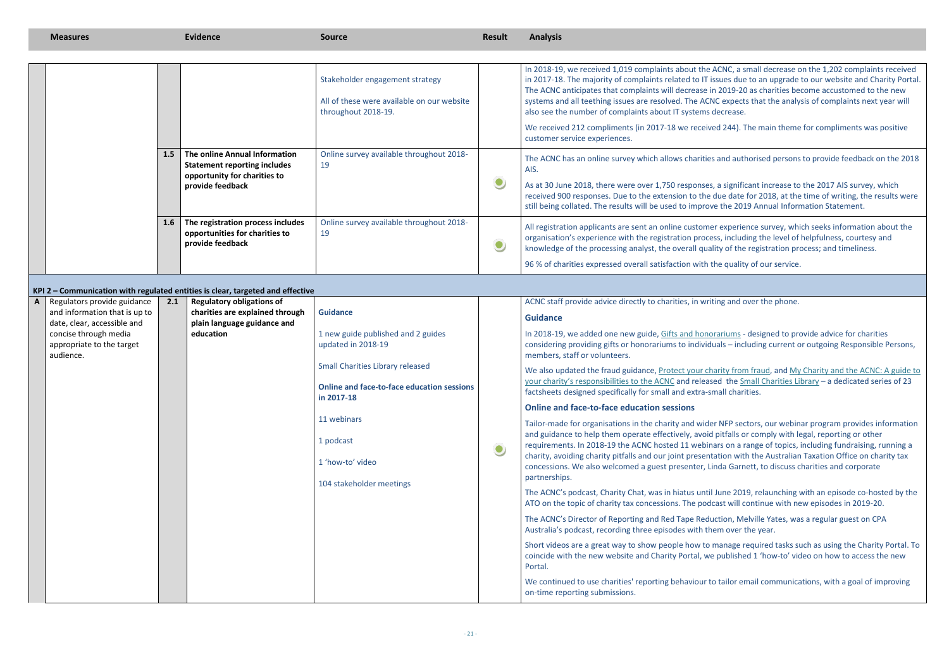CNC, a small decrease on the 1,202 complaints received sues due to an upgrade to our website and Charity Portal. 2019-20 as charities become accustomed to the new expects that the analysis of complaints next year will ecrease.

d 244). The main theme for compliments was positive

and authorised persons to provide feedback on the 2018

a significant increase to the 2017 AIS survey, which ue date for 2018, at the time of writing, the results were the 2019 Annual Information Statement.

experience survey, which seeks information about the s, including the level of helpfulness, courtesy and ty of the registration process; and timeliness.

e quality of our service.

ng and over the phone.

ariums - designed to provide advice for charities als – including current or outgoing Responsible Persons,

rity from fraud, and My Charity and the ACNC: A guide to ed the [Small Charities Library](https://www.acnc.gov.au/node/4478081) – a dedicated series of 23 hall charities.

NFP sectors, our webinar program provides information pitfalls or comply with legal, reporting or other irs on a range of topics, including fundraising, running a tion with the Australian Taxation Office on charity tax da Garnett, to discuss charities and corporate

une 2019, relaunching with an episode co-hosted by the ast will continue with new episodes in 2019-20.

tion, Melville Yates, was a regular guest on CPA m over the year.

anage required tasks such as using the Charity Portal. To published 1 'how-to' video on how to access the new

tailor email communications, with a goal of improving

|              |                                                                 |     |                                                                                                                          | Stakeholder engagement strategy<br>All of these were available on our website<br>throughout 2018-19.       |           | In 2018-19, we received 1,019 complaints about the A<br>in 2017-18. The majority of complaints related to IT iss<br>The ACNC anticipates that complaints will decrease in<br>systems and all teething issues are resolved. The ACNC<br>also see the number of complaints about IT systems de |
|--------------|-----------------------------------------------------------------|-----|--------------------------------------------------------------------------------------------------------------------------|------------------------------------------------------------------------------------------------------------|-----------|----------------------------------------------------------------------------------------------------------------------------------------------------------------------------------------------------------------------------------------------------------------------------------------------|
|              |                                                                 |     |                                                                                                                          |                                                                                                            |           | We received 212 compliments (in 2017-18 we received<br>customer service experiences.                                                                                                                                                                                                         |
|              |                                                                 | 1.5 | The online Annual Information<br><b>Statement reporting includes</b><br>opportunity for charities to<br>provide feedback | Online survey available throughout 2018-<br>19                                                             | $\bullet$ | The ACNC has an online survey which allows charities a<br>AIS.<br>As at 30 June 2018, there were over 1,750 responses, a<br>received 900 responses. Due to the extension to the di<br>still being collated. The results will be used to improve                                              |
|              |                                                                 | 1.6 | The registration process includes<br>opportunities for charities to<br>provide feedback                                  | Online survey available throughout 2018-<br>19                                                             | $\bullet$ | All registration applicants are sent an online customer<br>organisation's experience with the registration process<br>knowledge of the processing analyst, the overall qualit                                                                                                                |
|              |                                                                 |     |                                                                                                                          |                                                                                                            |           | 96 % of charities expressed overall satisfaction with the                                                                                                                                                                                                                                    |
|              |                                                                 |     | KPI 2 - Communication with regulated entities is clear, targeted and effective                                           |                                                                                                            |           |                                                                                                                                                                                                                                                                                              |
| $\mathsf{A}$ | Regulators provide guidance                                     | 2.1 | <b>Regulatory obligations of</b>                                                                                         |                                                                                                            |           | ACNC staff provide advice directly to charities, in writin                                                                                                                                                                                                                                   |
|              | and information that is up to<br>date, clear, accessible and    |     | charities are explained through<br>plain language guidance and                                                           | <b>Guidance</b>                                                                                            |           | <b>Guidance</b>                                                                                                                                                                                                                                                                              |
|              | concise through media<br>appropriate to the target<br>audience. |     | education                                                                                                                | 1 new guide published and 2 guides<br>updated in 2018-19                                                   |           | In 2018-19, we added one new guide, Gifts and honora<br>considering providing gifts or honorariums to individua<br>members, staff or volunteers.                                                                                                                                             |
|              |                                                                 |     |                                                                                                                          | <b>Small Charities Library released</b><br><b>Online and face-to-face education sessions</b><br>in 2017-18 |           | We also updated the fraud guidance, Protect your chai<br>your charity's responsibilities to the ACNC and release<br>factsheets designed specifically for small and extra-sm                                                                                                                  |
|              |                                                                 |     |                                                                                                                          |                                                                                                            |           | <b>Online and face-to-face education sessions</b>                                                                                                                                                                                                                                            |
|              |                                                                 |     |                                                                                                                          | 11 webinars                                                                                                |           | Tailor-made for organisations in the charity and wider                                                                                                                                                                                                                                       |
|              |                                                                 |     |                                                                                                                          | 1 podcast                                                                                                  |           | and guidance to help them operate effectively, avoid p<br>requirements. In 2018-19 the ACNC hosted 11 webinar                                                                                                                                                                                |
|              |                                                                 |     |                                                                                                                          | 1 'how-to' video                                                                                           | $\bullet$ | charity, avoiding charity pitfalls and our joint presentat<br>concessions. We also welcomed a guest presenter, Lin<br>partnerships.                                                                                                                                                          |
|              |                                                                 |     |                                                                                                                          | 104 stakeholder meetings                                                                                   |           | The ACNC's podcast, Charity Chat, was in hiatus until J<br>ATO on the topic of charity tax concessions. The podca                                                                                                                                                                            |
|              |                                                                 |     |                                                                                                                          |                                                                                                            |           | The ACNC's Director of Reporting and Red Tape Reduc<br>Australia's podcast, recording three episodes with there                                                                                                                                                                              |
|              |                                                                 |     |                                                                                                                          |                                                                                                            |           | Short videos are a great way to show people how to m<br>coincide with the new website and Charity Portal, we p<br>Portal.                                                                                                                                                                    |
|              |                                                                 |     |                                                                                                                          |                                                                                                            |           | We continued to use charities' reporting behaviour to<br>on-time reporting submissions.                                                                                                                                                                                                      |
|              |                                                                 |     |                                                                                                                          |                                                                                                            |           |                                                                                                                                                                                                                                                                                              |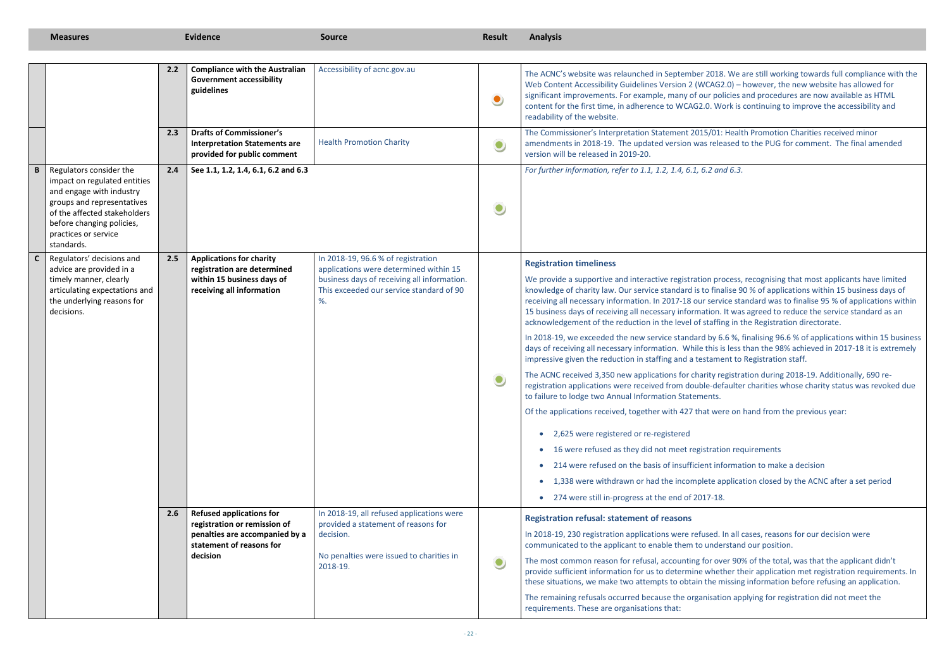18. We are still working towards full compliance with the G2.0) – however, the new website has allowed for solicies and procedures are now available as HTML Vork is continuing to improve the accessibility and

1: Health Promotion Charities received minor leased to the PUG for comment. The final amended

rocess, recognising that most applicants have limited nalise 90 % of applications within 15 business days of rice standard was to finalise 95 % of applications within 1. It was agreed to reduce the service standard as an fing in the Registration directorate.

6.6%, finalising 96.6 % of applications within 15 business  $\alpha$  is less than the 98% achieved in 2017-18 it is extremely nent to Registration staff.

registration during 2018-19. Additionally, 690 reefaulter charities whose charity status was revoked due

vere on hand from the previous year:

tion requirements

nformation to make a decision

application closed by the ACNC after a set period

In all cases, reasons for our decision were lerstand our position.

over 90% of the total, was that the applicant didn't ether their application met registration requirements. In missing information before refusing an application.

tion applying for registration did not meet the

|              | <b>Measures</b>                                                                                                                                                                                                      |     | <b>Evidence</b>                                                                                                                           | <b>Source</b>                                                                                                                                                                | <b>Result</b> | <b>Analysis</b>                                                                                                                                                                                                                                                                                                                                                                                                                                                                                                                                                                                                                                                                                                                                                                                                                                                                                                                                                                                                                                                                                                    |
|--------------|----------------------------------------------------------------------------------------------------------------------------------------------------------------------------------------------------------------------|-----|-------------------------------------------------------------------------------------------------------------------------------------------|------------------------------------------------------------------------------------------------------------------------------------------------------------------------------|---------------|--------------------------------------------------------------------------------------------------------------------------------------------------------------------------------------------------------------------------------------------------------------------------------------------------------------------------------------------------------------------------------------------------------------------------------------------------------------------------------------------------------------------------------------------------------------------------------------------------------------------------------------------------------------------------------------------------------------------------------------------------------------------------------------------------------------------------------------------------------------------------------------------------------------------------------------------------------------------------------------------------------------------------------------------------------------------------------------------------------------------|
|              |                                                                                                                                                                                                                      | 2.2 | <b>Compliance with the Australian</b><br><b>Government accessibility</b><br>guidelines                                                    | Accessibility of acnc.gov.au                                                                                                                                                 | $\bullet$     | The ACNC's website was relaunched in September 2018. We<br>Web Content Accessibility Guidelines Version 2 (WCAG2.0) -<br>significant improvements. For example, many of our policies<br>content for the first time, in adherence to WCAG2.0. Work is<br>readability of the website.                                                                                                                                                                                                                                                                                                                                                                                                                                                                                                                                                                                                                                                                                                                                                                                                                                |
|              |                                                                                                                                                                                                                      | 2.3 | <b>Drafts of Commissioner's</b><br><b>Interpretation Statements are</b><br>provided for public comment                                    | <b>Health Promotion Charity</b>                                                                                                                                              | $\bullet$     | The Commissioner's Interpretation Statement 2015/01: Healt<br>amendments in 2018-19. The updated version was released<br>version will be released in 2019-20.                                                                                                                                                                                                                                                                                                                                                                                                                                                                                                                                                                                                                                                                                                                                                                                                                                                                                                                                                      |
| $\, {\bf B}$ | Regulators consider the<br>impact on regulated entities<br>and engage with industry<br>groups and representatives<br>of the affected stakeholders<br>before changing policies,<br>practices or service<br>standards. | 2.4 | See 1.1, 1.2, 1.4, 6.1, 6.2 and 6.3                                                                                                       |                                                                                                                                                                              | $\bullet$     | For further information, refer to 1.1, 1.2, 1.4, 6.1, 6.2 and 6.3.                                                                                                                                                                                                                                                                                                                                                                                                                                                                                                                                                                                                                                                                                                                                                                                                                                                                                                                                                                                                                                                 |
| $\mathsf{C}$ | Regulators' decisions and<br>advice are provided in a<br>timely manner, clearly<br>articulating expectations and<br>the underlying reasons for<br>decisions.                                                         | 2.5 | <b>Applications for charity</b><br>registration are determined<br>within 15 business days of<br>receiving all information                 | In 2018-19, 96.6 % of registration<br>applications were determined within 15<br>business days of receiving all information.<br>This exceeded our service standard of 90<br>% |               | <b>Registration timeliness</b><br>We provide a supportive and interactive registration process,<br>knowledge of charity law. Our service standard is to finalise 9<br>receiving all necessary information. In 2017-18 our service sta<br>15 business days of receiving all necessary information. It was<br>acknowledgement of the reduction in the level of staffing in t<br>In 2018-19, we exceeded the new service standard by 6.6 %,<br>days of receiving all necessary information. While this is less<br>impressive given the reduction in staffing and a testament to<br>The ACNC received 3,350 new applications for charity registra<br>registration applications were received from double-defaulte<br>to failure to lodge two Annual Information Statements.<br>Of the applications received, together with 427 that were on<br>2,625 were registered or re-registered<br>16 were refused as they did not meet registration red<br>214 were refused on the basis of insufficient information<br>1,338 were withdrawn or had the incomplete applica<br>274 were still in-progress at the end of 2017-18. |
|              |                                                                                                                                                                                                                      | 2.6 | <b>Refused applications for</b><br>registration or remission of<br>penalties are accompanied by a<br>statement of reasons for<br>decision | In 2018-19, all refused applications were<br>provided a statement of reasons for<br>decision.<br>No penalties were issued to charities in<br>2018-19.                        | $\bullet$     | <b>Registration refusal: statement of reasons</b><br>In 2018-19, 230 registration applications were refused. In all<br>communicated to the applicant to enable them to understand<br>The most common reason for refusal, accounting for over 909<br>provide sufficient information for us to determine whether th<br>these situations, we make two attempts to obtain the missing<br>The remaining refusals occurred because the organisation ap<br>requirements. These are organisations that:                                                                                                                                                                                                                                                                                                                                                                                                                                                                                                                                                                                                                    |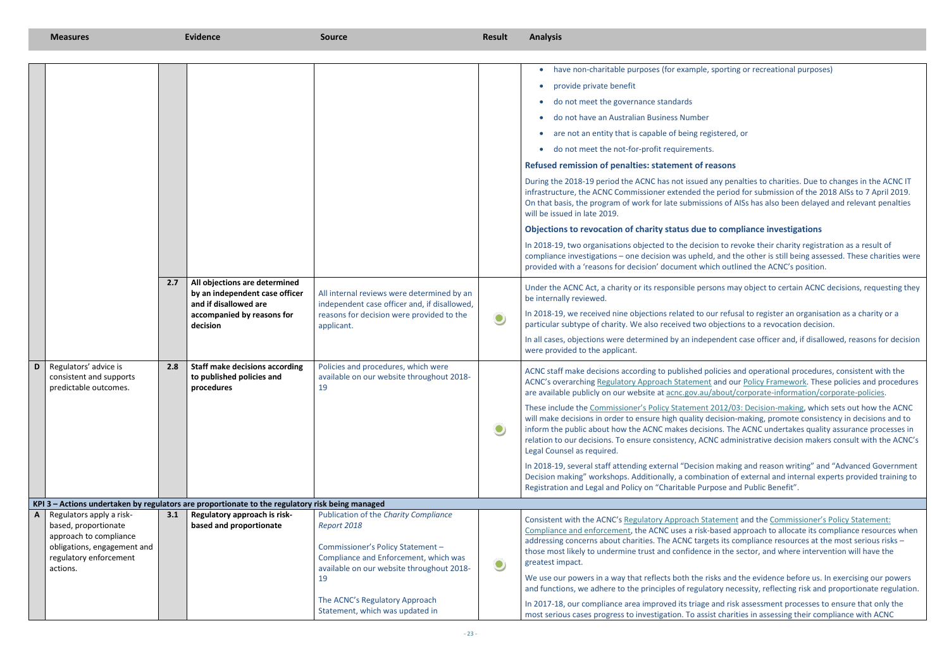oorting or recreational purposes)

tered, or

In penalties to charities. Due to changes in the ACNC IT period for submission of the 2018 AISs to 7 April 2019. Is of AISs has also been delayed and relevant penalties

#### **Compliance investigations**

to revoke their charity registration as a result of and the other is still being assessed. These charities were putlined the ACNC's position.

ns may object to certain ACNC decisions, requesting they

In 2018-19, we fusal to register an organisation as a charity or a jections to a revocation decision.

In all case officer and, if disallowed, reasons for decision

cies and operational procedures, consistent with the nd our Policy [Framework.](https://www.acnc.gov.au/about/corporate-information/corporate-policies/acnc-policy-framework) These policies and procedures about/corporate-information/corporate-policies.

12/03: Decision-making, which sets out how the ACNC ision-making, promote consistency in decisions and to is. The ACNC undertakes quality assurance processes in administrative decision makers consult with the ACNC's

making and reason writing" and "Advanced Government ion of external and internal experts provided training to Registerand Public Benefit".

**EXTERN EXACTLE MCCONCYS POLICY STATEMENT APPROACH STATE STATE** sed approach to allocate its compliance resources when its compliance resources at the most serious risks – the sector, and where intervention will have the

and the evidence before us. In exercising our powers y necessity, reflecting risk and proportionate regulation.

In 2017-18, our compliance area in assessment processes to ensure that only the charities in assessing their compliance with ACNC

|   | <b>Measures</b>                                                                                                                                 |     | <b>Evidence</b>                                                                                                                    | <b>Source</b>                                                                                                                                                                                                                                              | <b>Result</b> | <b>Analysis</b>                                                                                                                                                                                                                                                                                                                                                                                                                                                                                                                                                                                                                                                                                                                                                                                                                                                                                                                                                                                                                                                                                                                             |
|---|-------------------------------------------------------------------------------------------------------------------------------------------------|-----|------------------------------------------------------------------------------------------------------------------------------------|------------------------------------------------------------------------------------------------------------------------------------------------------------------------------------------------------------------------------------------------------------|---------------|---------------------------------------------------------------------------------------------------------------------------------------------------------------------------------------------------------------------------------------------------------------------------------------------------------------------------------------------------------------------------------------------------------------------------------------------------------------------------------------------------------------------------------------------------------------------------------------------------------------------------------------------------------------------------------------------------------------------------------------------------------------------------------------------------------------------------------------------------------------------------------------------------------------------------------------------------------------------------------------------------------------------------------------------------------------------------------------------------------------------------------------------|
|   |                                                                                                                                                 | 2.7 | All objections are determined<br>by an independent case officer<br>and if disallowed are<br>accompanied by reasons for<br>decision | All internal reviews were determined by an<br>independent case officer and, if disallowed,<br>reasons for decision were provided to the<br>applicant.                                                                                                      | $\bullet$     | have non-charitable purposes (for example, sporting<br>provide private benefit<br>do not meet the governance standards<br>do not have an Australian Business Number<br>are not an entity that is capable of being registered<br>do not meet the not-for-profit requirements.<br>Refused remission of penalties: statement of reasons<br>During the 2018-19 period the ACNC has not issued any per<br>infrastructure, the ACNC Commissioner extended the perio<br>On that basis, the program of work for late submissions of<br>will be issued in late 2019.<br>Objections to revocation of charity status due to com<br>In 2018-19, two organisations objected to the decision to re<br>compliance investigations - one decision was upheld, and t<br>provided with a 'reasons for decision' document which out<br>Under the ACNC Act, a charity or its responsible persons may<br>be internally reviewed.<br>In 2018-19, we received nine objections related to our refu<br>particular subtype of charity. We also received two objection<br>In all cases, objections were determined by an independent<br>were provided to the applicant. |
| D | Regulators' advice is<br>consistent and supports<br>predictable outcomes.                                                                       | 2.8 | <b>Staff make decisions according</b><br>to published policies and<br>procedures                                                   | Policies and procedures, which were<br>available on our website throughout 2018-<br>19                                                                                                                                                                     |               | ACNC staff make decisions according to published policies a<br>ACNC's overarching Regulatory Approach Statement and or<br>are available publicly on our website at acnc.gov.au/about/<br>These include the Commissioner's Policy Statement 2012/0<br>will make decisions in order to ensure high quality decision<br>inform the public about how the ACNC makes decisions. Th<br>relation to our decisions. To ensure consistency, ACNC adm<br>Legal Counsel as required.<br>In 2018-19, several staff attending external "Decision makin<br>Decision making" workshops. Additionally, a combination of<br>Registration and Legal and Policy on "Charitable Purpose ar                                                                                                                                                                                                                                                                                                                                                                                                                                                                      |
|   |                                                                                                                                                 |     | KPI 3 - Actions undertaken by regulators are proportionate to the regulatory risk being managed                                    |                                                                                                                                                                                                                                                            |               |                                                                                                                                                                                                                                                                                                                                                                                                                                                                                                                                                                                                                                                                                                                                                                                                                                                                                                                                                                                                                                                                                                                                             |
| A | Regulators apply a risk-<br>based, proportionate<br>approach to compliance<br>obligations, engagement and<br>regulatory enforcement<br>actions. | 3.1 | Regulatory approach is risk-<br>based and proportionate                                                                            | Publication of the Charity Compliance<br>Report 2018<br>Commissioner's Policy Statement -<br>Compliance and Enforcement, which was<br>available on our website throughout 2018-<br>19<br>The ACNC's Regulatory Approach<br>Statement, which was updated in | $\bullet$     | Consistent with the ACNC's Regulatory Approach Statemen<br>Compliance and enforcement, the ACNC uses a risk-based a<br>addressing concerns about charities. The ACNC targets its c<br>those most likely to undermine trust and confidence in the<br>greatest impact.<br>We use our powers in a way that reflects both the risks and<br>and functions, we adhere to the principles of regulatory ne<br>In 2017-18, our compliance area improved its triage and ris<br>most serious cases progress to investigation. To assist chari                                                                                                                                                                                                                                                                                                                                                                                                                                                                                                                                                                                                          |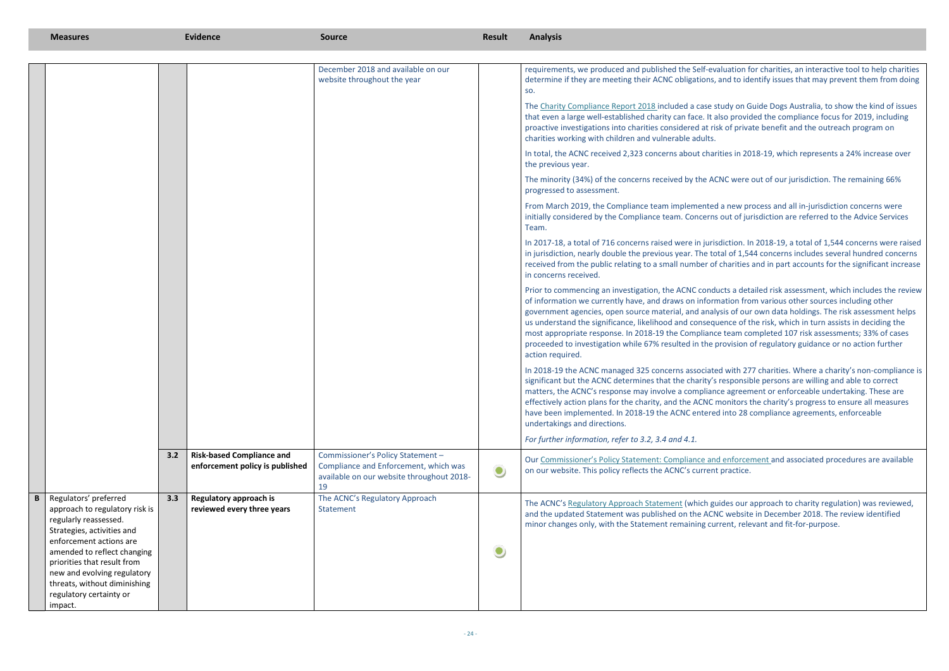luation for charities, an interactive tool to help charities and to identify issues that may prevent them from doing

Tudy on Guide Dogs Australia, to show the kind of issues so provided the compliance focus for 2019, including k of private benefit and the outreach program on

ties in 2018-19, which represents a 24% increase over

NC were out of our jurisdiction. The remaining 66%

a new process and all in-jurisdiction concerns were out of jurisdiction are referred to the Advice Services

diction. In 2018-19, a total of 1,544 concerns were raised al of 1,544 concerns includes several hundred concerns charities and in part accounts for the significant increase

cts a detailed risk assessment, which includes the review ation from various other sources including other sis of our own data holdings. The risk assessment helps ence of the risk, which in turn assists in deciding the team completed 107 risk assessments; 33% of cases rovision of regulatory guidance or no action further

d with 277 charities. Where a charity's non-compliance is responsible persons are willing and able to correct e agreement or enforceable undertaking. These are ionitors the charity's progress to ensure all measures I into 28 compliance agreements, enforceable

enforcement and associated procedures are available practice.

The Aconcy approach to charity regulation) was reviewed, C website in December 2018. The review identified rent, relevant and fit-for-purpose.

| <b>Measures</b>                                                                                                                                                                                                                                                                                   |     | <b>Evidence</b>                                                     | <b>Source</b>                                                                                                           | <b>Result</b> | <b>Analysis</b>                                                                                                                                                                                                                                                                                                                                                         |
|---------------------------------------------------------------------------------------------------------------------------------------------------------------------------------------------------------------------------------------------------------------------------------------------------|-----|---------------------------------------------------------------------|-------------------------------------------------------------------------------------------------------------------------|---------------|-------------------------------------------------------------------------------------------------------------------------------------------------------------------------------------------------------------------------------------------------------------------------------------------------------------------------------------------------------------------------|
|                                                                                                                                                                                                                                                                                                   |     |                                                                     | December 2018 and available on our<br>website throughout the year                                                       |               | requirements, we produced and published the Self-eva<br>determine if they are meeting their ACNC obligations, a<br>SO.                                                                                                                                                                                                                                                  |
|                                                                                                                                                                                                                                                                                                   |     |                                                                     |                                                                                                                         |               | The Charity Compliance Report 2018 included a case st<br>that even a large well-established charity can face. It all<br>proactive investigations into charities considered at risk<br>charities working with children and vulnerable adults.                                                                                                                            |
|                                                                                                                                                                                                                                                                                                   |     |                                                                     |                                                                                                                         |               | In total, the ACNC received 2,323 concerns about charit<br>the previous year.                                                                                                                                                                                                                                                                                           |
|                                                                                                                                                                                                                                                                                                   |     |                                                                     |                                                                                                                         |               | The minority (34%) of the concerns received by the ACI<br>progressed to assessment.                                                                                                                                                                                                                                                                                     |
|                                                                                                                                                                                                                                                                                                   |     |                                                                     |                                                                                                                         |               | From March 2019, the Compliance team implemented<br>initially considered by the Compliance team. Concerns<br>Team.                                                                                                                                                                                                                                                      |
|                                                                                                                                                                                                                                                                                                   |     |                                                                     |                                                                                                                         |               | In 2017-18, a total of 716 concerns raised were in juriso<br>in jurisdiction, nearly double the previous year. The tot<br>received from the public relating to a small number of<br>in concerns received.                                                                                                                                                               |
|                                                                                                                                                                                                                                                                                                   |     |                                                                     |                                                                                                                         |               | Prior to commencing an investigation, the ACNC condu<br>of information we currently have, and draws on inform<br>government agencies, open source material, and analy<br>us understand the significance, likelihood and conseque<br>most appropriate response. In 2018-19 the Compliance<br>proceeded to investigation while 67% resulted in the pr<br>action required. |
|                                                                                                                                                                                                                                                                                                   |     |                                                                     |                                                                                                                         |               | In 2018-19 the ACNC managed 325 concerns associated<br>significant but the ACNC determines that the charity's r<br>matters, the ACNC's response may involve a complianc<br>effectively action plans for the charity, and the ACNC m<br>have been implemented. In 2018-19 the ACNC entered<br>undertakings and directions.                                               |
|                                                                                                                                                                                                                                                                                                   | 3.2 | <b>Risk-based Compliance and</b><br>enforcement policy is published | Commissioner's Policy Statement -<br>Compliance and Enforcement, which was<br>available on our website throughout 2018- | $\bullet$     | For further information, refer to 3.2, 3.4 and 4.1.<br>Our Commissioner's Policy Statement: Compliance and<br>on our website. This policy reflects the ACNC's current                                                                                                                                                                                                   |
| Regulators' preferred<br>approach to regulatory risk is<br>regularly reassessed.<br>Strategies, activities and<br>enforcement actions are<br>amended to reflect changing<br>priorities that result from<br>new and evolving regulatory<br>threats, without diminishing<br>regulatory certainty or | 3.3 | Regulatory approach is<br>reviewed every three years                | 19<br>The ACNC's Regulatory Approach<br>Statement                                                                       | $\bullet$     | The ACNC's Regulatory Approach Statement (which gui<br>and the updated Statement was published on the ACN<br>minor changes only, with the Statement remaining curr                                                                                                                                                                                                      |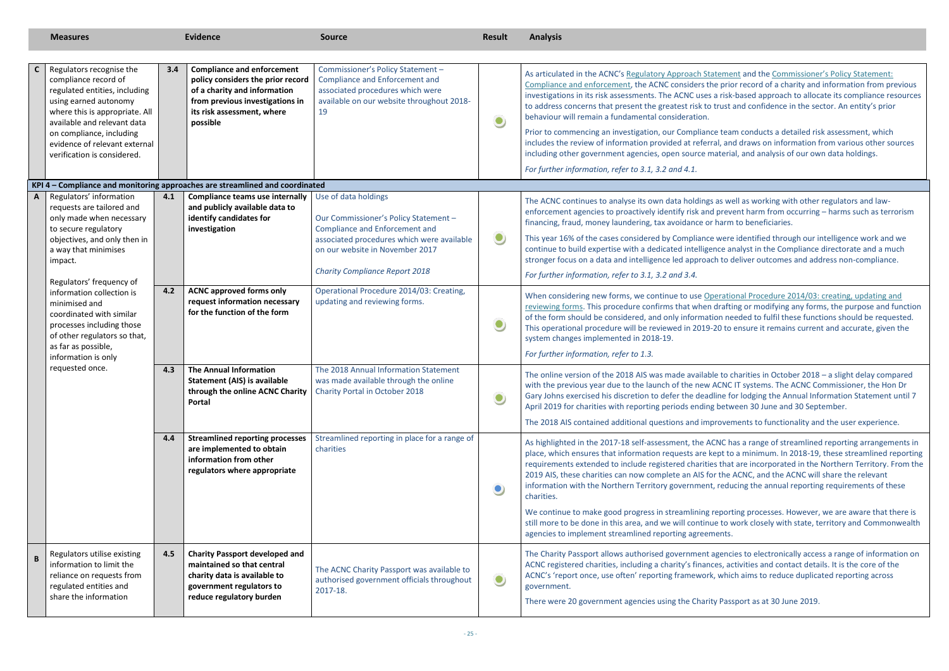ement and the Commissioner's Policy Statement: Prior record of a charity and information from previous in risk-based approach to allocate its compliance resources rust and confidence in the sector. An entity's prior

Prior to conducts a detailed risk assessment, which I, and draws on information from various other sources aterial, and analysis of our own data holdings.

as well as working with other regulators and lawprevent harm from occurring – harms such as terrorism final fraud, moneticiaries.

were identified through our intelligence work and we ce analyst in the Compliance directorate and a much to deliver outcomes and address non-compliance.

erational Procedure 2014/03: creating, updating and Irafting or modifying any forms, the purpose and function on needed to fulfil these functions should be requested. O to ensure it remains current and accurate, given the

to charities in October 2018 – a slight delay compared CNC IT systems. The ACNC Commissioner, the Hon Dr ne for lodging the Annual Information Statement until 7 between 30 June and 30 September.

to 2018 also ander and the user experience.

NC has a range of streamlined reporting arrangements in pt to a minimum. In 2018-19, these streamlined reporting that are incorporated in the Northern Territory. From the the ACNC, and the ACNC will share the relevant reducing the annual reporting requirements of these

porting processes. However, we are aware that there is to work closely with state, territory and Commonwealth

gencies to electronically access a range of information on es, activities and contact details. It is the core of the which aims to reduce duplicated reporting across

Passport as at 30 June 2019.

|              | <b>Measures</b>                                                                                                                                                                                                                                                         |     | <b>Evidence</b>                                                                                                                                                                     | <b>Source</b>                                                                                                                                                                           | <b>Result</b> | <b>Analysis</b>                                                                                                                                                                                                                                                                                                                                                                                                                                                                                                                                        |
|--------------|-------------------------------------------------------------------------------------------------------------------------------------------------------------------------------------------------------------------------------------------------------------------------|-----|-------------------------------------------------------------------------------------------------------------------------------------------------------------------------------------|-----------------------------------------------------------------------------------------------------------------------------------------------------------------------------------------|---------------|--------------------------------------------------------------------------------------------------------------------------------------------------------------------------------------------------------------------------------------------------------------------------------------------------------------------------------------------------------------------------------------------------------------------------------------------------------------------------------------------------------------------------------------------------------|
| $\mathsf{C}$ | Regulators recognise the<br>compliance record of<br>regulated entities, including<br>using earned autonomy<br>where this is appropriate. All<br>available and relevant data<br>on compliance, including<br>evidence of relevant external<br>verification is considered. | 3.4 | <b>Compliance and enforcement</b><br>policy considers the prior record<br>of a charity and information<br>from previous investigations in<br>its risk assessment, where<br>possible | Commissioner's Policy Statement -<br><b>Compliance and Enforcement and</b><br>associated procedures which were<br>available on our website throughout 2018-<br>19                       | $\bullet$     | As articulated in the ACNC's Regulatory Approach Stateme<br>Compliance and enforcement, the ACNC considers the pric<br>investigations in its risk assessments. The ACNC uses a risk<br>to address concerns that present the greatest risk to trust<br>behaviour will remain a fundamental consideration.<br>Prior to commencing an investigation, our Compliance tea<br>includes the review of information provided at referral, an<br>including other government agencies, open source materia<br>For further information, refer to 3.1, 3.2 and 4.1. |
|              |                                                                                                                                                                                                                                                                         |     | KPI 4 - Compliance and monitoring approaches are streamlined and coordinated                                                                                                        |                                                                                                                                                                                         |               |                                                                                                                                                                                                                                                                                                                                                                                                                                                                                                                                                        |
| $\mathbf{A}$ | Regulators' information<br>requests are tailored and<br>only made when necessary<br>to secure regulatory<br>objectives, and only then in<br>a way that minimises<br>impact.                                                                                             | 4.1 | <b>Compliance teams use internally</b><br>and publicly available data to<br>identify candidates for<br>investigation                                                                | Use of data holdings<br>Our Commissioner's Policy Statement -<br><b>Compliance and Enforcement and</b><br>associated procedures which were available<br>on our website in November 2017 | $\bullet$     | The ACNC continues to analyse its own data holdings as we<br>enforcement agencies to proactively identify risk and prev<br>financing, fraud, money laundering, tax avoidance or harm<br>This year 16% of the cases considered by Compliance were<br>continue to build expertise with a dedicated intelligence a<br>stronger focus on a data and intelligence led approach to o                                                                                                                                                                         |
|              |                                                                                                                                                                                                                                                                         |     |                                                                                                                                                                                     | <b>Charity Compliance Report 2018</b>                                                                                                                                                   |               | For further information, refer to 3.1, 3.2 and 3.4.                                                                                                                                                                                                                                                                                                                                                                                                                                                                                                    |
|              | Regulators' frequency of<br>information collection is<br>minimised and<br>coordinated with similar<br>processes including those<br>of other regulators so that,                                                                                                         | 4.2 | <b>ACNC approved forms only</b><br>request information necessary<br>for the function of the form                                                                                    | Operational Procedure 2014/03: Creating,<br>updating and reviewing forms.                                                                                                               | $\bullet$     | When considering new forms, we continue to use Operation<br>reviewing forms. This procedure confirms that when drafti<br>of the form should be considered, and only information ne<br>This operational procedure will be reviewed in 2019-20 to<br>system changes implemented in 2018-19.                                                                                                                                                                                                                                                              |
|              | as far as possible,<br>information is only                                                                                                                                                                                                                              |     |                                                                                                                                                                                     |                                                                                                                                                                                         |               | For further information, refer to 1.3.                                                                                                                                                                                                                                                                                                                                                                                                                                                                                                                 |
|              | requested once.                                                                                                                                                                                                                                                         | 4.3 | <b>The Annual Information</b><br><b>Statement (AIS) is available</b><br><b>through the online ACNC Charity   Charity Portal in October 2018</b><br>Portal                           | The 2018 Annual Information Statement<br>was made available through the online                                                                                                          | $\bullet$     | The online version of the 2018 AIS was made available to only<br>with the previous year due to the launch of the new ACNC<br>Gary Johns exercised his discretion to defer the deadline fo<br>April 2019 for charities with reporting periods ending betw<br>The 2018 AIS contained additional questions and improver                                                                                                                                                                                                                                   |
|              |                                                                                                                                                                                                                                                                         | 4.4 | <b>Streamlined reporting processes</b><br>are implemented to obtain<br>information from other<br>regulators where appropriate                                                       | Streamlined reporting in place for a range of<br>charities                                                                                                                              | $\bullet$     | As highlighted in the 2017-18 self-assessment, the ACNC h<br>place, which ensures that information requests are kept to<br>requirements extended to include registered charities that<br>2019 AIS, these charities can now complete an AIS for the<br>information with the Northern Territory government, redu<br>charities.<br>We continue to make good progress in streamlining report<br>still more to be done in this area, and we will continue to v<br>agencies to implement streamlined reporting agreements.                                   |
| B            | Regulators utilise existing<br>information to limit the<br>reliance on requests from<br>regulated entities and<br>share the information                                                                                                                                 | 4.5 | <b>Charity Passport developed and</b><br>maintained so that central<br>charity data is available to<br>government regulators to<br>reduce regulatory burden                         | The ACNC Charity Passport was available to<br>authorised government officials throughout<br>2017-18.                                                                                    | $\bullet$     | The Charity Passport allows authorised government agenc<br>ACNC registered charities, including a charity's finances, a<br>ACNC's 'report once, use often' reporting framework, which<br>government.<br>There were 20 government agencies using the Charity Pass                                                                                                                                                                                                                                                                                       |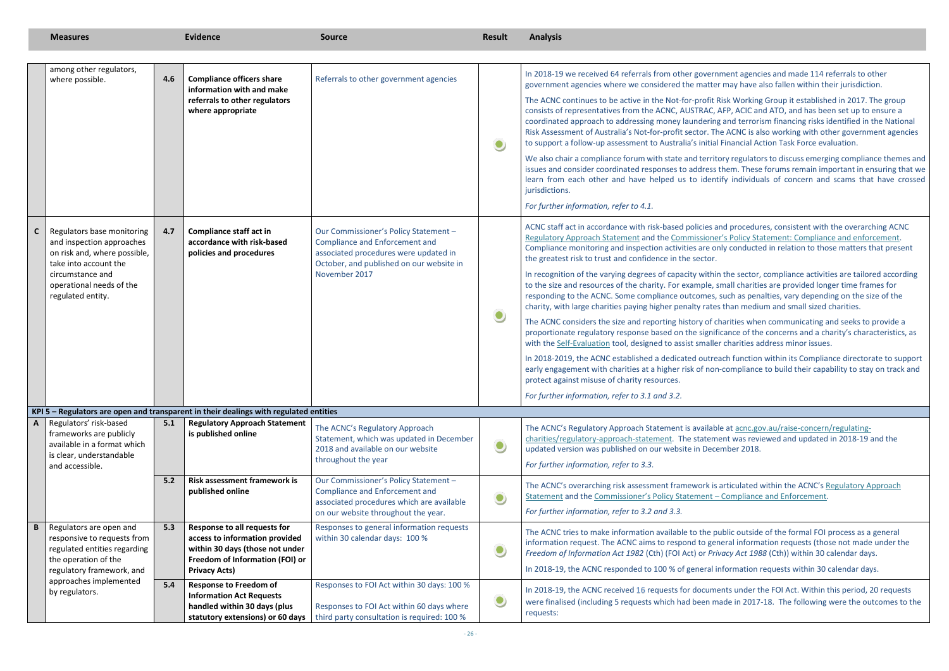ment agencies and made 114 referrals to other may have also fallen within their jurisdiction.

Risk Working Group it established in 2017. The group AFP, ACIC and ATO, and has been set up to ensure a coordinated and terrorism financing risks identified in the National ne ACNC is also working with other government agencies. **I Financial Action Task Force evaluation.** 

ory regulators to discuss emerging compliance themes and them. These forums remain important in ensuring that we tify individuals of concern and scams that have crossed

and procedures, consistent with the overarching ACNC Pr's Policy Statement: Compliance and enforcement. nly conducted in relation to those matters that present

In the sector, compliance activities are tailored according small charities are provided longer time frames for such as penalties, vary depending on the size of the charith darity, with an and small sized charities.

harities when communicating and seeks to provide a icance of the concerns and a charity's characteristics, as r charities address minor issues.

ach function within its Compliance directorate to support e-compliance to build their capability to stay on track and

Ie at [acnc.gov.au/raise-concern/regulating](https://www.acnc.gov.au/raise-concern/regulating-charities/regulatory-approach-statement)ent was reviewed and updated in 2018-19 and the ember 2018.

articulated within the ACNC's Regulatory Approach Gompliance and Enforcement.

ublic outside of the formal FOI process as a general neral information requests (those not made under the *Fracy Act 1988* (Cth)) within 30 calendar days.

nformation requests within 30 calendar days.

ents under the FOI Act. Within this period, 20 requests ade in 2017-18. The following were the outcomes to the

|              | <b>Measures</b>                                                                                                  |                                                               | <b>Evidence</b>                                                                                                                      | <b>Source</b>                                                                                                                                                | <b>Result</b>                                                                                               | <b>Analysis</b>                                                                                                                                                                                                                                                                                 |
|--------------|------------------------------------------------------------------------------------------------------------------|---------------------------------------------------------------|--------------------------------------------------------------------------------------------------------------------------------------|--------------------------------------------------------------------------------------------------------------------------------------------------------------|-------------------------------------------------------------------------------------------------------------|-------------------------------------------------------------------------------------------------------------------------------------------------------------------------------------------------------------------------------------------------------------------------------------------------|
|              | among other regulators,                                                                                          |                                                               |                                                                                                                                      |                                                                                                                                                              |                                                                                                             |                                                                                                                                                                                                                                                                                                 |
|              | 4.6<br>where possible.                                                                                           | <b>Compliance officers share</b><br>information with and make | Referrals to other government agencies                                                                                               |                                                                                                                                                              | In 2018-19 we received 64 referrals from other govern<br>government agencies where we considered the matter |                                                                                                                                                                                                                                                                                                 |
|              |                                                                                                                  |                                                               | referrals to other regulators<br>where appropriate                                                                                   |                                                                                                                                                              | $\bullet$                                                                                                   | The ACNC continues to be active in the Not-for-profit F<br>consists of representatives from the ACNC, AUSTRAC, /<br>coordinated approach to addressing money laundering<br>Risk Assessment of Australia's Not-for-profit sector. Th<br>to support a follow-up assessment to Australia's initial |
|              |                                                                                                                  |                                                               |                                                                                                                                      |                                                                                                                                                              |                                                                                                             | We also chair a compliance forum with state and territo<br>issues and consider coordinated responses to address t<br>learn from each other and have helped us to ident<br>jurisdictions.                                                                                                        |
|              |                                                                                                                  |                                                               |                                                                                                                                      |                                                                                                                                                              |                                                                                                             | For further information, refer to 4.1.                                                                                                                                                                                                                                                          |
| $\mathsf{C}$ | Regulators base monitoring<br>and inspection approaches<br>on risk and, where possible,<br>take into account the | 4.7                                                           | <b>Compliance staff act in</b><br>accordance with risk-based<br>policies and procedures                                              | Our Commissioner's Policy Statement -<br>Compliance and Enforcement and<br>associated procedures were updated in<br>October, and published on our website in |                                                                                                             | ACNC staff act in accordance with risk-based policies a<br><b>Regulatory Approach Statement and the Commissione</b><br>Compliance monitoring and inspection activities are or<br>the greatest risk to trust and confidence in the sector.                                                       |
|              | circumstance and<br>operational needs of the<br>regulated entity.                                                |                                                               |                                                                                                                                      | November 2017                                                                                                                                                |                                                                                                             | In recognition of the varying degrees of capacity within<br>to the size and resources of the charity. For example, s<br>responding to the ACNC. Some compliance outcomes,<br>charity, with large charities paying higher penalty rates                                                          |
|              |                                                                                                                  |                                                               |                                                                                                                                      |                                                                                                                                                              | $\bullet$                                                                                                   | The ACNC considers the size and reporting history of cl<br>proportionate regulatory response based on the signifi<br>with the Self-Evaluation tool, designed to assist smaller                                                                                                                  |
|              |                                                                                                                  |                                                               |                                                                                                                                      |                                                                                                                                                              |                                                                                                             | In 2018-2019, the ACNC established a dedicated outrea<br>early engagement with charities at a higher risk of non<br>protect against misuse of charity resources.                                                                                                                                |
|              |                                                                                                                  |                                                               |                                                                                                                                      |                                                                                                                                                              |                                                                                                             | For further information, refer to 3.1 and 3.2.                                                                                                                                                                                                                                                  |
|              |                                                                                                                  |                                                               | KPI 5 - Regulators are open and transparent in their dealings with regulated entities                                                |                                                                                                                                                              |                                                                                                             |                                                                                                                                                                                                                                                                                                 |
| A            | Regulators' risk-based<br>frameworks are publicly<br>available in a format which<br>is clear, understandable     | 5.1                                                           | <b>Regulatory Approach Statement</b><br>is published online                                                                          | The ACNC's Regulatory Approach<br>Statement, which was updated in December<br>2018 and available on our website<br>throughout the year                       | $\bullet$                                                                                                   | The ACNC's Regulatory Approach Statement is availabl<br>charities/regulatory-approach-statement. The statement<br>updated version was published on our website in Dece                                                                                                                          |
|              | and accessible.                                                                                                  |                                                               |                                                                                                                                      |                                                                                                                                                              |                                                                                                             | For further information, refer to 3.3.                                                                                                                                                                                                                                                          |
|              |                                                                                                                  | 5.2                                                           | <b>Risk assessment framework is</b><br>published online                                                                              | Our Commissioner's Policy Statement -<br>Compliance and Enforcement and<br>associated procedures which are available                                         |                                                                                                             | The ACNC's overarching risk assessment framework is<br>Statement and the Commissioner's Policy Statement -                                                                                                                                                                                      |
|              |                                                                                                                  |                                                               |                                                                                                                                      | on our website throughout the year.                                                                                                                          |                                                                                                             | For further information, refer to 3.2 and 3.3.                                                                                                                                                                                                                                                  |
| B            | Regulators are open and<br>responsive to requests from<br>regulated entities regarding<br>the operation of the   | 5.3                                                           | Response to all requests for<br>access to information provided<br>within 30 days (those not under<br>Freedom of Information (FOI) or | Responses to general information requests<br>within 30 calendar days: 100 %                                                                                  | $\bullet$                                                                                                   | The ACNC tries to make information available to the pu<br>information request. The ACNC aims to respond to gen<br>Freedom of Information Act 1982 (Cth) (FOI Act) or Priv                                                                                                                       |
|              | regulatory framework, and                                                                                        | <b>Privacy Acts)</b>                                          |                                                                                                                                      |                                                                                                                                                              |                                                                                                             | In 2018-19, the ACNC responded to 100 % of general in                                                                                                                                                                                                                                           |
|              | approaches implemented<br>by regulators.                                                                         | 5.4                                                           | <b>Response to Freedom of</b><br><b>Information Act Requests</b><br>handled within 30 days (plus<br>statutory extensions) or 60 days | Responses to FOI Act within 30 days: 100 %<br>Responses to FOI Act within 60 days where<br>third party consultation is required: 100 %                       |                                                                                                             | In 2018-19, the ACNC received 16 requests for docume<br>were finalised (including 5 requests which had been m<br>requests:                                                                                                                                                                      |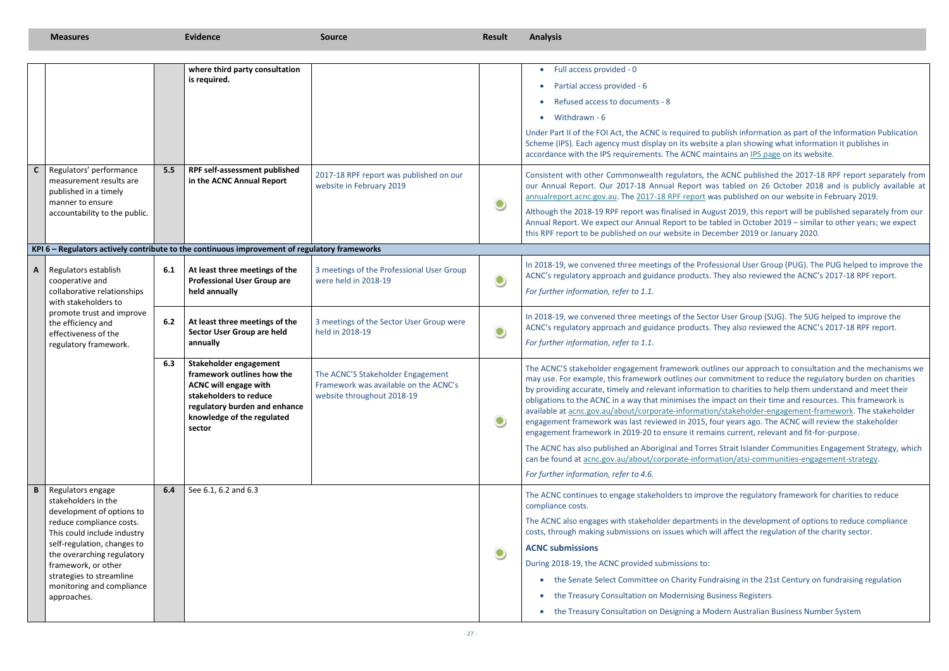ublish information as part of the Information Publication a plan showing what information it publishes in ntains a[n IPS page](https://www.acnc.gov.au/about/foi/information-publication-scheme) on its website.

CONC published the 2017-18 RPF report separately from tabled on 26 October 2018 and is publicly available at as published on our website in February 2019.

ust 2019, this report will be published separately from our bled in October 2019 – similar to other years; we expect ember 2019 or January 2020.

ssional User Group (PUG). The PUG helped to improve the They also reviewed the ACNC's 2017-18 RPF report.

r User Group (SUG). The SUG helped to improve the hey also reviewed the ACNC's 2017-18 RPF report.

Ines our approach to consultation and the mechanisms we mmitment to reduce the regulatory burden on charities In to charities to help them understand and meet their mpact on their time and resources. This framework is a/stakeholder-engagement-framework. The stakeholder our years ago. The ACNC will review the stakeholder ins current, relevant and fit-for-purpose.

Strait Islander Communities Engagement Strategy, which ation/atsi-communities-engagement-strategy.

ve the regulatory framework for charities to reduce

If also in the development of options to reduce compliance ill affect the regulation of the charity sector.

raising in the 21st Century on fundraising regulation

siness Registers

dern Australian Business Number System

|              | <b>Measures</b>                                                                                                                                                                                                     |     | <b>Evidence</b>                                                                                                                                                                         | <b>Source</b>                                                                                            | <b>Result</b>                                | <b>Analysis</b>                                                                                                                                                                                                                                                                                                                                                                                   |
|--------------|---------------------------------------------------------------------------------------------------------------------------------------------------------------------------------------------------------------------|-----|-----------------------------------------------------------------------------------------------------------------------------------------------------------------------------------------|----------------------------------------------------------------------------------------------------------|----------------------------------------------|---------------------------------------------------------------------------------------------------------------------------------------------------------------------------------------------------------------------------------------------------------------------------------------------------------------------------------------------------------------------------------------------------|
|              |                                                                                                                                                                                                                     |     | where third party consultation                                                                                                                                                          |                                                                                                          |                                              | Full access provided - 0                                                                                                                                                                                                                                                                                                                                                                          |
|              |                                                                                                                                                                                                                     |     | is required.                                                                                                                                                                            |                                                                                                          |                                              | Partial access provided - 6                                                                                                                                                                                                                                                                                                                                                                       |
|              |                                                                                                                                                                                                                     |     |                                                                                                                                                                                         |                                                                                                          |                                              | Refused access to documents - 8                                                                                                                                                                                                                                                                                                                                                                   |
|              |                                                                                                                                                                                                                     |     |                                                                                                                                                                                         |                                                                                                          |                                              | Withdrawn - 6                                                                                                                                                                                                                                                                                                                                                                                     |
|              |                                                                                                                                                                                                                     |     |                                                                                                                                                                                         |                                                                                                          |                                              | Under Part II of the FOI Act, the ACNC is required to po<br>Scheme (IPS). Each agency must display on its website<br>accordance with the IPS requirements. The ACNC mair                                                                                                                                                                                                                          |
| $\mathsf{C}$ | Regulators' performance<br>measurement results are<br>published in a timely<br>manner to ensure                                                                                                                     | 5.5 | RPF self-assessment published<br>in the ACNC Annual Report                                                                                                                              | 2017-18 RPF report was published on our<br>website in February 2019                                      |                                              | Consistent with other Commonwealth regulators, the<br>our Annual Report. Our 2017-18 Annual Report was<br>annualreport.acnc.gov.au. The 2017-18 RPF report wa                                                                                                                                                                                                                                     |
|              | accountability to the public.                                                                                                                                                                                       |     |                                                                                                                                                                                         |                                                                                                          |                                              | Although the 2018-19 RPF report was finalised in Augu<br>Annual Report. We expect our Annual Report to be tal<br>this RPF report to be published on our website in Dece                                                                                                                                                                                                                           |
|              |                                                                                                                                                                                                                     |     | KPI 6 - Regulators actively contribute to the continuous improvement of regulatory frameworks                                                                                           |                                                                                                          |                                              |                                                                                                                                                                                                                                                                                                                                                                                                   |
| A            | Regulators establish<br>cooperative and<br>collaborative relationships                                                                                                                                              | 6.1 | At least three meetings of the<br><b>Professional User Group are</b><br>held annually                                                                                                   | 3 meetings of the Professional User Group<br>were held in 2018-19                                        | $\bullet$                                    | In 2018-19, we convened three meetings of the Profes<br>ACNC's regulatory approach and guidance products. T<br>For further information, refer to 1.1.                                                                                                                                                                                                                                             |
|              | with stakeholders to                                                                                                                                                                                                |     |                                                                                                                                                                                         |                                                                                                          |                                              |                                                                                                                                                                                                                                                                                                                                                                                                   |
|              | promote trust and improve<br>the efficiency and<br>effectiveness of the<br>regulatory framework.                                                                                                                    | 6.2 | At least three meetings of the<br>Sector User Group are held<br>annually                                                                                                                | 3 meetings of the Sector User Group were<br>held in 2018-19                                              | $\bullet$                                    | In 2018-19, we convened three meetings of the Sector<br>ACNC's regulatory approach and guidance products. T<br>For further information, refer to 1.1.                                                                                                                                                                                                                                             |
|              |                                                                                                                                                                                                                     | 6.3 | Stakeholder engagement<br>framework outlines how the<br><b>ACNC will engage with</b><br>stakeholders to reduce<br>regulatory burden and enhance<br>knowledge of the regulated<br>sector | The ACNC'S Stakeholder Engagement<br>Framework was available on the ACNC's<br>website throughout 2018-19 | $\bullet$                                    | The ACNC'S stakeholder engagement framework outli<br>may use. For example, this framework outlines our co<br>by providing accurate, timely and relevant information<br>obligations to the ACNC in a way that minimises the in<br>available at acnc.gov.au/about/corporate-information<br>engagement framework was last reviewed in 2015, fo<br>engagement framework in 2019-20 to ensure it remai |
|              |                                                                                                                                                                                                                     |     |                                                                                                                                                                                         |                                                                                                          |                                              | The ACNC has also published an Aboriginal and Torres<br>can be found at acnc.gov.au/about/corporate-informa                                                                                                                                                                                                                                                                                       |
|              |                                                                                                                                                                                                                     |     |                                                                                                                                                                                         |                                                                                                          |                                              | For further information, refer to 4.6.                                                                                                                                                                                                                                                                                                                                                            |
| B            | Regulators engage<br>stakeholders in the<br>development of options to                                                                                                                                               | 6.4 | See 6.1, 6.2 and 6.3                                                                                                                                                                    |                                                                                                          |                                              | The ACNC continues to engage stakeholders to improv<br>compliance costs.                                                                                                                                                                                                                                                                                                                          |
|              | reduce compliance costs.<br>This could include industry<br>self-regulation, changes to<br>the overarching regulatory<br>framework, or other<br>strategies to streamline<br>monitoring and compliance<br>approaches. |     |                                                                                                                                                                                         |                                                                                                          |                                              | The ACNC also engages with stakeholder departments<br>costs, through making submissions on issues which wi                                                                                                                                                                                                                                                                                        |
|              |                                                                                                                                                                                                                     |     |                                                                                                                                                                                         |                                                                                                          | $\bullet$                                    | <b>ACNC submissions</b>                                                                                                                                                                                                                                                                                                                                                                           |
|              |                                                                                                                                                                                                                     |     |                                                                                                                                                                                         |                                                                                                          |                                              | During 2018-19, the ACNC provided submissions to:                                                                                                                                                                                                                                                                                                                                                 |
|              |                                                                                                                                                                                                                     |     |                                                                                                                                                                                         |                                                                                                          |                                              | the Senate Select Committee on Charity Fund                                                                                                                                                                                                                                                                                                                                                       |
|              |                                                                                                                                                                                                                     |     |                                                                                                                                                                                         |                                                                                                          | the Treasury Consultation on Modernising Bus |                                                                                                                                                                                                                                                                                                                                                                                                   |
|              |                                                                                                                                                                                                                     |     |                                                                                                                                                                                         |                                                                                                          |                                              | the Treasury Consultation on Designing a Mod                                                                                                                                                                                                                                                                                                                                                      |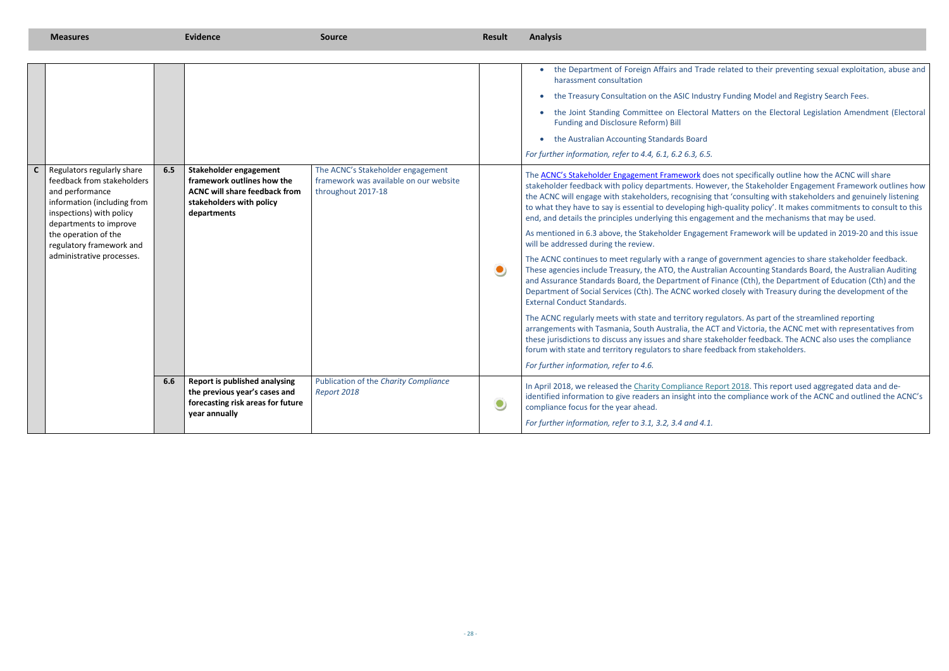related to their preventing sexual exploitation, abuse and

y Funding Model and Registry Search Fees.

Aatters on the Electoral Legislation Amendment (Electoral

s not specifically outline how the ACNC will share ver, the Stakeholder Engagement Framework outlines how that 'consulting with stakeholders and genuinely listening th-quality policy'. It makes commitments to consult to this ment and the mechanisms that may be used.

ent Framework will be updated in 2019-20 and this issue

government agencies to share stakeholder feedback. Iian Accounting Standards Board, the Australian Auditing inance (Cth), the Department of Education (Cth) and the I closely with Treasury during the development of the

ulators. As part of the streamlined reporting T and Victoria, the ACNC met with representatives from keholder feedback. The ACNC also uses the compliance dback from stakeholders.

oort 2018. This report used aggregated data and dethe compliance work of the ACNC and outlined the ACNC's

|              | <b>Measures</b>                                                                                                                                                                                                                                   |     | <b>Evidence</b>                                                                                                                         | <b>Source</b>                                                                                     | <b>Result</b> | <b>Analysis</b>                                                                                                                                                                                                                                                                                                                                                                                                                                                                                                                                                                                                                                                                                                                                                                                                                                                                                                                                                                                                                                                  |
|--------------|---------------------------------------------------------------------------------------------------------------------------------------------------------------------------------------------------------------------------------------------------|-----|-----------------------------------------------------------------------------------------------------------------------------------------|---------------------------------------------------------------------------------------------------|---------------|------------------------------------------------------------------------------------------------------------------------------------------------------------------------------------------------------------------------------------------------------------------------------------------------------------------------------------------------------------------------------------------------------------------------------------------------------------------------------------------------------------------------------------------------------------------------------------------------------------------------------------------------------------------------------------------------------------------------------------------------------------------------------------------------------------------------------------------------------------------------------------------------------------------------------------------------------------------------------------------------------------------------------------------------------------------|
| $\mathsf{C}$ | Regulators regularly share<br>feedback from stakeholders<br>and performance<br>information (including from<br>inspections) with policy<br>departments to improve<br>the operation of the<br>regulatory framework and<br>administrative processes. | 6.5 | Stakeholder engagement<br>framework outlines how the<br><b>ACNC will share feedback from</b><br>stakeholders with policy<br>departments | The ACNC's Stakeholder engagement<br>framework was available on our website<br>throughout 2017-18 | $\bullet$     | the Department of Foreign Affairs and Trade<br>harassment consultation<br>the Treasury Consultation on the ASIC Industry<br>the Joint Standing Committee on Electoral M<br><b>Funding and Disclosure Reform) Bill</b><br>the Australian Accounting Standards Board<br>For further information, refer to 4.4, 6.1, 6.2 6.3, 6.5.<br>The <b>ACNC's Stakeholder Engagement Framework</b> does<br>stakeholder feedback with policy departments. Howey<br>the ACNC will engage with stakeholders, recognising th<br>to what they have to say is essential to developing hig<br>end, and details the principles underlying this engager<br>As mentioned in 6.3 above, the Stakeholder Engageme<br>will be addressed during the review.<br>The ACNC continues to meet regularly with a range of<br>These agencies include Treasury, the ATO, the Australi<br>and Assurance Standards Board, the Department of Fi<br>Department of Social Services (Cth). The ACNC worked<br><b>External Conduct Standards.</b><br>The ACNC regularly meets with state and territory reg |
|              |                                                                                                                                                                                                                                                   |     |                                                                                                                                         |                                                                                                   |               | arrangements with Tasmania, South Australia, the ACT<br>these jurisdictions to discuss any issues and share stak<br>forum with state and territory regulators to share feed                                                                                                                                                                                                                                                                                                                                                                                                                                                                                                                                                                                                                                                                                                                                                                                                                                                                                      |
|              |                                                                                                                                                                                                                                                   |     |                                                                                                                                         |                                                                                                   |               | For further information, refer to 4.6.                                                                                                                                                                                                                                                                                                                                                                                                                                                                                                                                                                                                                                                                                                                                                                                                                                                                                                                                                                                                                           |
|              |                                                                                                                                                                                                                                                   | 6.6 | <b>Report is published analysing</b><br>the previous year's cases and<br>forecasting risk areas for future<br>year annually             | Publication of the Charity Compliance<br>Report 2018                                              | $\bullet$     | In April 2018, we released the Charity Compliance Rep<br>identified information to give readers an insight into th<br>compliance focus for the year ahead.                                                                                                                                                                                                                                                                                                                                                                                                                                                                                                                                                                                                                                                                                                                                                                                                                                                                                                       |
|              |                                                                                                                                                                                                                                                   |     |                                                                                                                                         |                                                                                                   |               | For further information, refer to 3.1, 3.2, 3.4 and 4.1.                                                                                                                                                                                                                                                                                                                                                                                                                                                                                                                                                                                                                                                                                                                                                                                                                                                                                                                                                                                                         |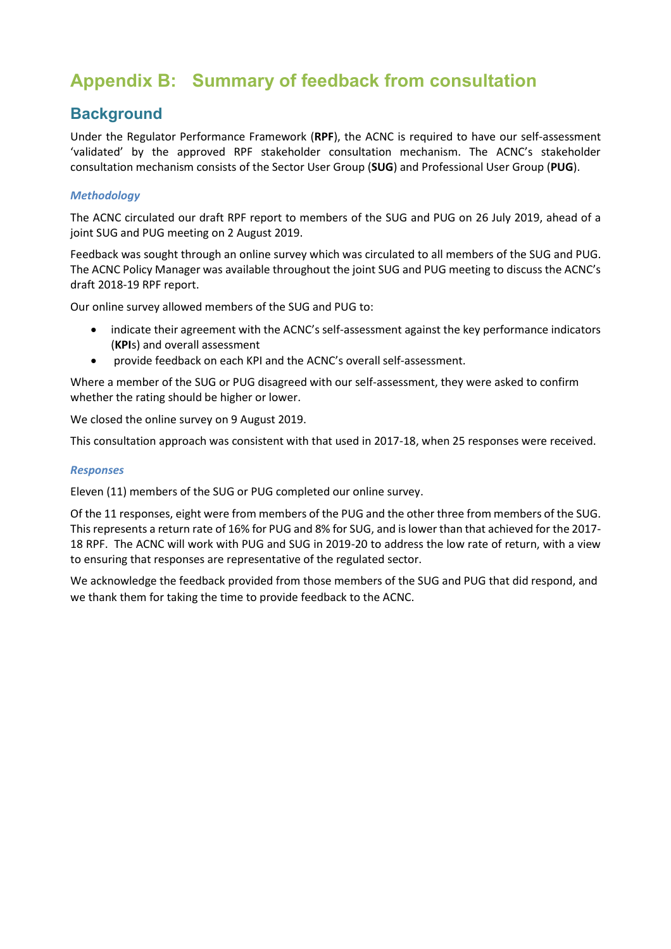## <span id="page-28-0"></span>**Appendix B: Summary of feedback from consultation**

### **Background**

Under the Regulator Performance Framework (**RPF**), the ACNC is required to have our self-assessment 'validated' by the approved RPF stakeholder consultation mechanism. The ACNC's stakeholder consultation mechanism consists of the Sector User Group (**SUG**) and Professional User Group (**PUG**).

### *Methodology*

The ACNC circulated our draft RPF report to members of the SUG and PUG on 26 July 2019, ahead of a joint SUG and PUG meeting on 2 August 2019.

Feedback was sought through an online survey which was circulated to all members of the SUG and PUG. The ACNC Policy Manager was available throughout the joint SUG and PUG meeting to discuss the ACNC's draft 2018-19 RPF report.

Our online survey allowed members of the SUG and PUG to:

- indicate their agreement with the ACNC's self-assessment against the key performance indicators (**KPI**s) and overall assessment
- provide feedback on each KPI and the ACNC's overall self-assessment.

Where a member of the SUG or PUG disagreed with our self-assessment, they were asked to confirm whether the rating should be higher or lower.

We closed the online survey on 9 August 2019.

This consultation approach was consistent with that used in 2017-18, when 25 responses were received.

#### *Responses*

Eleven (11) members of the SUG or PUG completed our online survey.

Of the 11 responses, eight were from members of the PUG and the other three from members of the SUG. This represents a return rate of 16% for PUG and 8% for SUG, and is lower than that achieved for the 2017- 18 RPF. The ACNC will work with PUG and SUG in 2019-20 to address the low rate of return, with a view to ensuring that responses are representative of the regulated sector.

We acknowledge the feedback provided from those members of the SUG and PUG that did respond, and we thank them for taking the time to provide feedback to the ACNC.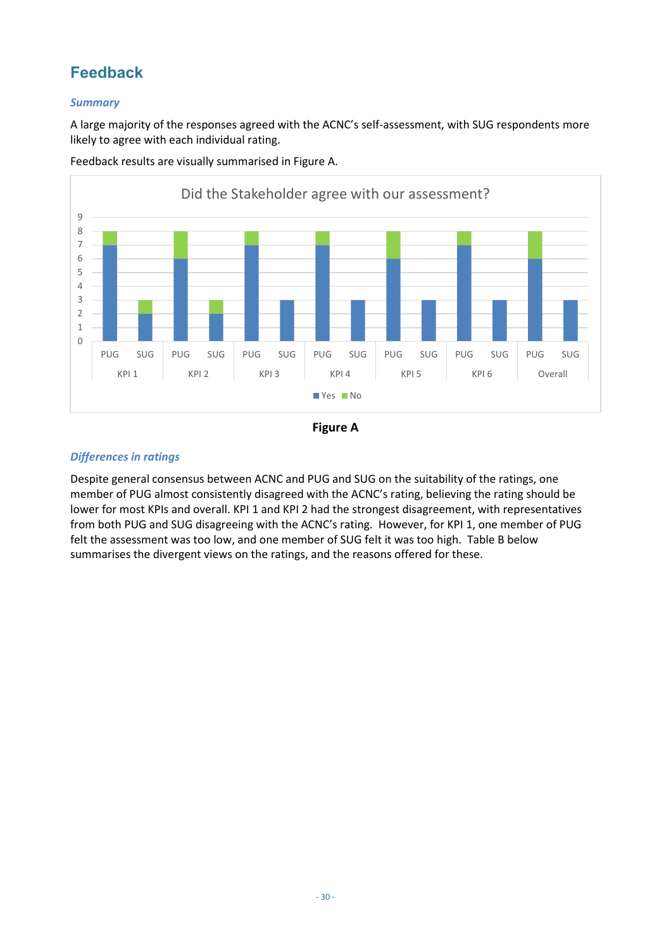### **Feedback**

### *Summary*

A large majority of the responses agreed with the ACNC's self-assessment, with SUG respondents more likely to agree with each individual rating.



Feedback results are visually summarised in Figure A.



### *Differences in ratings*

Despite general consensus between ACNC and PUG and SUG on the suitability of the ratings, one member of PUG almost consistently disagreed with the ACNC's rating, believing the rating should be lower for most KPIs and overall. KPI 1 and KPI 2 had the strongest disagreement, with representatives from both PUG and SUG disagreeing with the ACNC's rating. However, for KPI 1, one member of PUG felt the assessment was too low, and one member of SUG felt it was too high. Table B below summarises the divergent views on the ratings, and the reasons offered for these.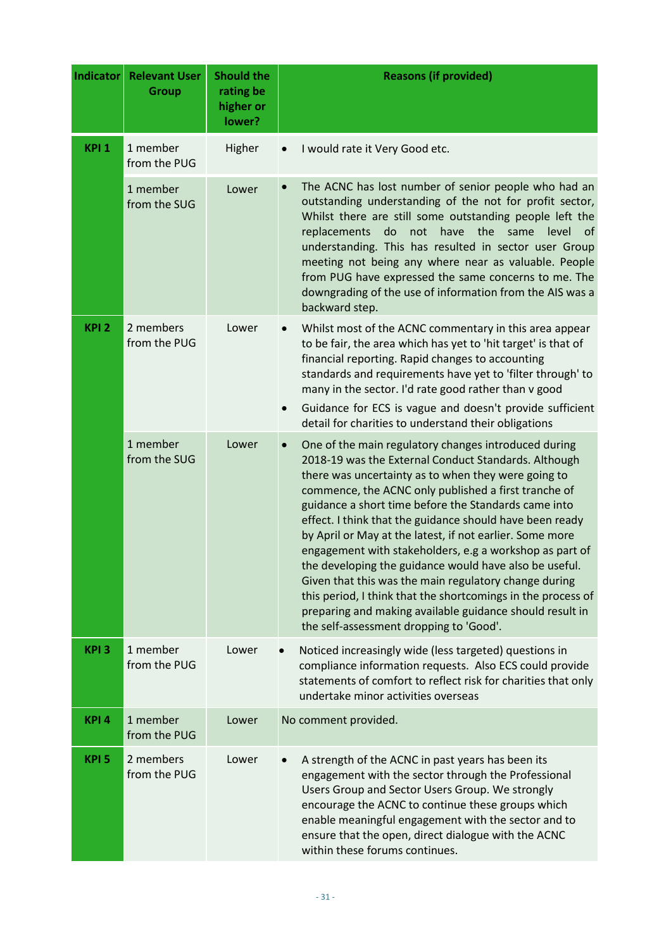| <b>Indicator</b> | <b>Relevant User</b><br><b>Group</b> | <b>Should the</b><br>rating be<br>higher or<br>lower? | <b>Reasons (if provided)</b>                                                                                                                                                                                                                                                                                                                                                                                                                                                                                                                                                                                                                                                                                                                                     |
|------------------|--------------------------------------|-------------------------------------------------------|------------------------------------------------------------------------------------------------------------------------------------------------------------------------------------------------------------------------------------------------------------------------------------------------------------------------------------------------------------------------------------------------------------------------------------------------------------------------------------------------------------------------------------------------------------------------------------------------------------------------------------------------------------------------------------------------------------------------------------------------------------------|
| KPI <sub>1</sub> | 1 member<br>from the PUG             | Higher                                                | I would rate it Very Good etc.                                                                                                                                                                                                                                                                                                                                                                                                                                                                                                                                                                                                                                                                                                                                   |
|                  | 1 member<br>from the SUG             | Lower                                                 | The ACNC has lost number of senior people who had an<br>outstanding understanding of the not for profit sector,<br>Whilst there are still some outstanding people left the<br>have the same<br>replacements<br>do not<br>level<br>_of<br>understanding. This has resulted in sector user Group<br>meeting not being any where near as valuable. People<br>from PUG have expressed the same concerns to me. The<br>downgrading of the use of information from the AIS was a<br>backward step.                                                                                                                                                                                                                                                                     |
| KPI <sub>2</sub> | 2 members<br>from the PUG            | Lower                                                 | Whilst most of the ACNC commentary in this area appear<br>to be fair, the area which has yet to 'hit target' is that of<br>financial reporting. Rapid changes to accounting<br>standards and requirements have yet to 'filter through' to<br>many in the sector. I'd rate good rather than v good<br>Guidance for ECS is vague and doesn't provide sufficient<br>$\bullet$<br>detail for charities to understand their obligations                                                                                                                                                                                                                                                                                                                               |
|                  | 1 member<br>from the SUG             | Lower                                                 | One of the main regulatory changes introduced during<br>2018-19 was the External Conduct Standards. Although<br>there was uncertainty as to when they were going to<br>commence, the ACNC only published a first tranche of<br>guidance a short time before the Standards came into<br>effect. I think that the guidance should have been ready<br>by April or May at the latest, if not earlier. Some more<br>engagement with stakeholders, e.g a workshop as part of<br>the developing the guidance would have also be useful.<br>Given that this was the main regulatory change during<br>this period, I think that the shortcomings in the process of<br>preparing and making available guidance should result in<br>the self-assessment dropping to 'Good'. |
| KPI <sub>3</sub> | 1 member<br>from the PUG             | Lower                                                 | Noticed increasingly wide (less targeted) questions in<br>compliance information requests. Also ECS could provide<br>statements of comfort to reflect risk for charities that only<br>undertake minor activities overseas                                                                                                                                                                                                                                                                                                                                                                                                                                                                                                                                        |
| KPI <sub>4</sub> | 1 member<br>from the PUG             | Lower                                                 | No comment provided.                                                                                                                                                                                                                                                                                                                                                                                                                                                                                                                                                                                                                                                                                                                                             |
| KPI <sub>5</sub> | 2 members<br>from the PUG            | Lower                                                 | A strength of the ACNC in past years has been its<br>engagement with the sector through the Professional<br>Users Group and Sector Users Group. We strongly<br>encourage the ACNC to continue these groups which<br>enable meaningful engagement with the sector and to<br>ensure that the open, direct dialogue with the ACNC<br>within these forums continues.                                                                                                                                                                                                                                                                                                                                                                                                 |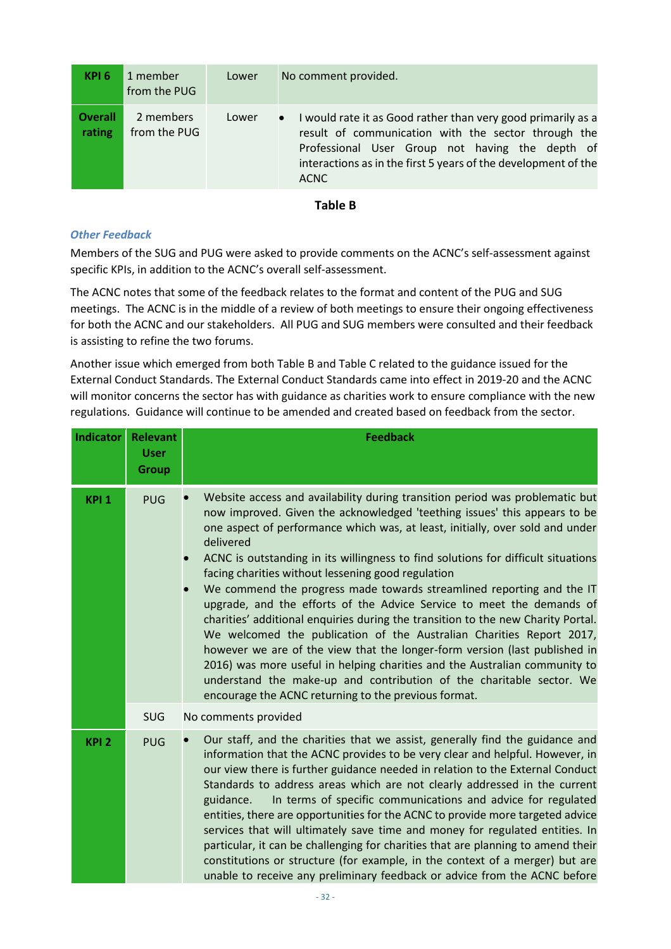| KPI 6                    | 1 member<br>from the PUG  | Lower | No comment provided.                                                                                                                                                                                                                                                 |
|--------------------------|---------------------------|-------|----------------------------------------------------------------------------------------------------------------------------------------------------------------------------------------------------------------------------------------------------------------------|
| <b>Overall</b><br>rating | 2 members<br>from the PUG | Lower | I would rate it as Good rather than very good primarily as a<br>$\bullet$<br>result of communication with the sector through the<br>Professional User Group not having the depth of<br>interactions as in the first 5 years of the development of the<br><b>ACNC</b> |

### **Table B**

#### *Other Feedback*

Members of the SUG and PUG were asked to provide comments on the ACNC's self-assessment against specific KPIs, in addition to the ACNC's overall self-assessment.

The ACNC notes that some of the feedback relates to the format and content of the PUG and SUG meetings. The ACNC is in the middle of a review of both meetings to ensure their ongoing effectiveness for both the ACNC and our stakeholders. All PUG and SUG members were consulted and their feedback is assisting to refine the two forums.

Another issue which emerged from both Table B and Table C related to the guidance issued for the External Conduct Standards. The External Conduct Standards came into effect in 2019-20 and the ACNC will monitor concerns the sector has with guidance as charities work to ensure compliance with the new regulations. Guidance will continue to be amended and created based on feedback from the sector.

| <b>Indicator</b> | <b>Relevant</b><br><b>User</b><br><b>Group</b> | <b>Feedback</b>                                                                                                                                                                                                                                                                                                                                                                                                                                                                                                                                                                                                                                                                                                                                                                                                                                                                                                                                                                                              |
|------------------|------------------------------------------------|--------------------------------------------------------------------------------------------------------------------------------------------------------------------------------------------------------------------------------------------------------------------------------------------------------------------------------------------------------------------------------------------------------------------------------------------------------------------------------------------------------------------------------------------------------------------------------------------------------------------------------------------------------------------------------------------------------------------------------------------------------------------------------------------------------------------------------------------------------------------------------------------------------------------------------------------------------------------------------------------------------------|
| KPI <sub>1</sub> | <b>PUG</b>                                     | Website access and availability during transition period was problematic but<br>now improved. Given the acknowledged 'teething issues' this appears to be<br>one aspect of performance which was, at least, initially, over sold and under<br>delivered<br>ACNC is outstanding in its willingness to find solutions for difficult situations<br>facing charities without lessening good regulation<br>We commend the progress made towards streamlined reporting and the IT<br>upgrade, and the efforts of the Advice Service to meet the demands of<br>charities' additional enquiries during the transition to the new Charity Portal.<br>We welcomed the publication of the Australian Charities Report 2017,<br>however we are of the view that the longer-form version (last published in<br>2016) was more useful in helping charities and the Australian community to<br>understand the make-up and contribution of the charitable sector. We<br>encourage the ACNC returning to the previous format. |
|                  | <b>SUG</b>                                     | No comments provided                                                                                                                                                                                                                                                                                                                                                                                                                                                                                                                                                                                                                                                                                                                                                                                                                                                                                                                                                                                         |
| KPI <sub>2</sub> | <b>PUG</b>                                     | Our staff, and the charities that we assist, generally find the guidance and<br>information that the ACNC provides to be very clear and helpful. However, in<br>our view there is further guidance needed in relation to the External Conduct<br>Standards to address areas which are not clearly addressed in the current<br>In terms of specific communications and advice for regulated<br>guidance.<br>entities, there are opportunities for the ACNC to provide more targeted advice<br>services that will ultimately save time and money for regulated entities. In<br>particular, it can be challenging for charities that are planning to amend their<br>constitutions or structure (for example, in the context of a merger) but are<br>unable to receive any preliminary feedback or advice from the ACNC before                                                                                                                                                                                   |